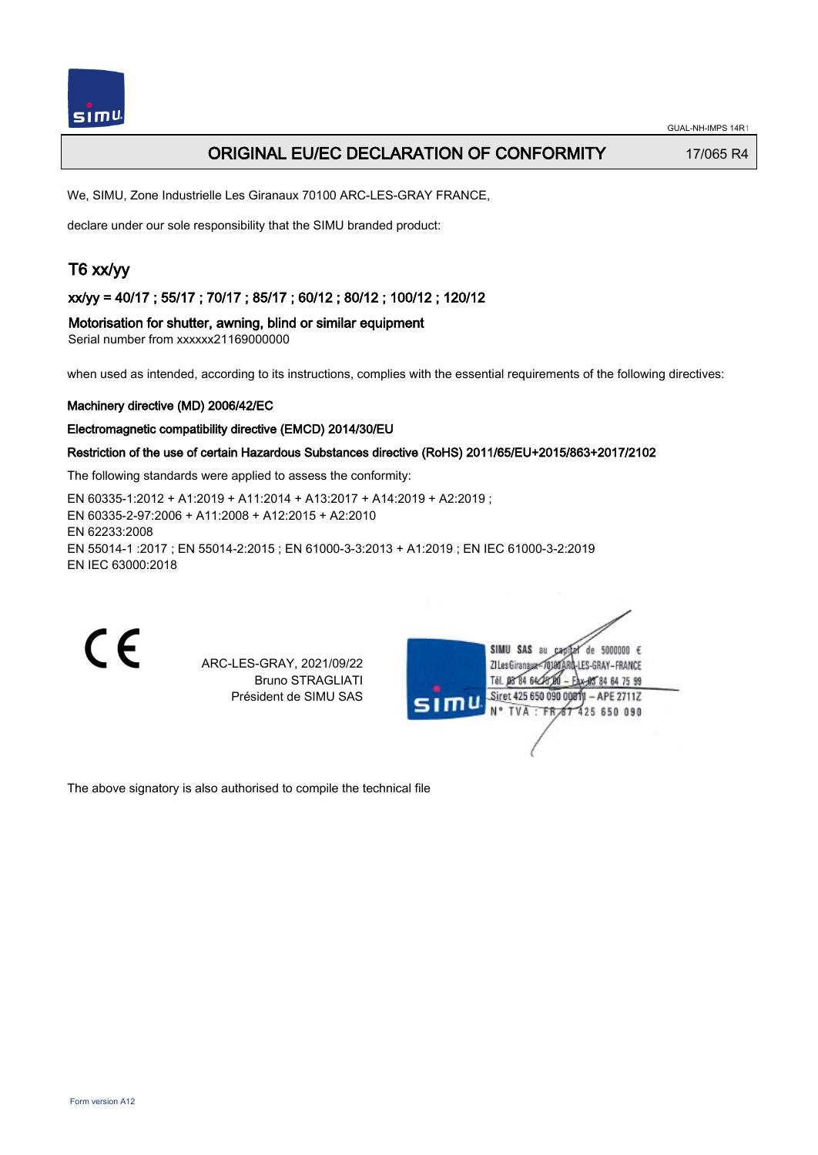# ORIGINAL EU/EC DECLARATION OF CONFORMITY 17/065 R4

We, SIMU, Zone Industrielle Les Giranaux 70100 ARC-LES-GRAY FRANCE,

declare under our sole responsibility that the SIMU branded product:

# T6 xx/yy

xx/yy = 40/17 ; 55/17 ; 70/17 ; 85/17 ; 60/12 ; 80/12 ; 100/12 ; 120/12

Motorisation for shutter, awning, blind or similar equipment

Serial number from xxxxxx21169000000

when used as intended, according to its instructions, complies with the essential requirements of the following directives:

#### Machinery directive (MD) 2006/42/EC

#### Electromagnetic compatibility directive (EMCD) 2014/30/EU

## Restriction of the use of certain Hazardous Substances directive (RoHS) 2011/65/EU+2015/863+2017/2102

The following standards were applied to assess the conformity:

EN 60335‑1:2012 + A1:2019 + A11:2014 + A13:2017 + A14:2019 + A2:2019 ; EN 60335‑2‑97:2006 + A11:2008 + A12:2015 + A2:2010 EN 62233:2008 EN 55014‑1 :2017 ; EN 55014‑2:2015 ; EN 61000‑3‑3:2013 + A1:2019 ; EN IEC 61000‑3‑2:2019 EN IEC 63000:2018

C E

ARC-LES-GRAY, 2021/09/22 Bruno STRAGLIATI Président de SIMU SAS



The above signatory is also authorised to compile the technical file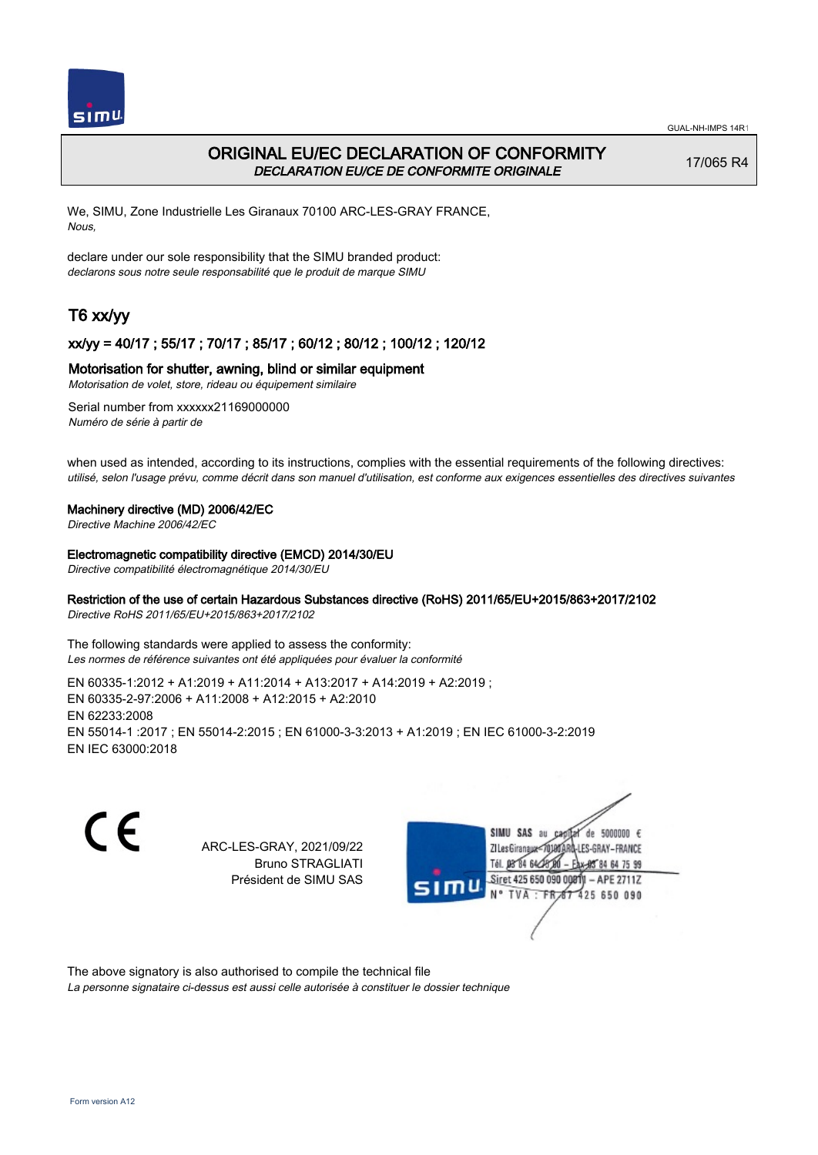

# ORIGINAL EU/EC DECLARATION OF CONFORMITY DECLARATION EU/CE DE CONFORMITE ORIGINALE

17/065 R4

We, SIMU, Zone Industrielle Les Giranaux 70100 ARC-LES-GRAY FRANCE, Nous,

declare under our sole responsibility that the SIMU branded product: declarons sous notre seule responsabilité que le produit de marque SIMU

# T6 xx/yy

## xx/yy = 40/17 ; 55/17 ; 70/17 ; 85/17 ; 60/12 ; 80/12 ; 100/12 ; 120/12

## Motorisation for shutter, awning, blind or similar equipment

Motorisation de volet, store, rideau ou équipement similaire

Serial number from xxxxxx21169000000 Numéro de série à partir de

when used as intended, according to its instructions, complies with the essential requirements of the following directives: utilisé, selon l'usage prévu, comme décrit dans son manuel d'utilisation, est conforme aux exigences essentielles des directives suivantes

#### Machinery directive (MD) 2006/42/EC

Directive Machine 2006/42/EC

#### Electromagnetic compatibility directive (EMCD) 2014/30/EU

Directive compatibilité électromagnétique 2014/30/EU

## Restriction of the use of certain Hazardous Substances directive (RoHS) 2011/65/EU+2015/863+2017/2102

Directive RoHS 2011/65/EU+2015/863+2017/2102

The following standards were applied to assess the conformity: Les normes de référence suivantes ont été appliquées pour évaluer la conformité

EN 60335‑1:2012 + A1:2019 + A11:2014 + A13:2017 + A14:2019 + A2:2019 ; EN 60335‑2‑97:2006 + A11:2008 + A12:2015 + A2:2010 EN 62233:2008 EN 55014‑1 :2017 ; EN 55014‑2:2015 ; EN 61000‑3‑3:2013 + A1:2019 ; EN IEC 61000‑3‑2:2019 EN IEC 63000:2018

C E

ARC-LES-GRAY, 2021/09/22 Bruno STRAGLIATI Président de SIMU SAS



The above signatory is also authorised to compile the technical file

La personne signataire ci-dessus est aussi celle autorisée à constituer le dossier technique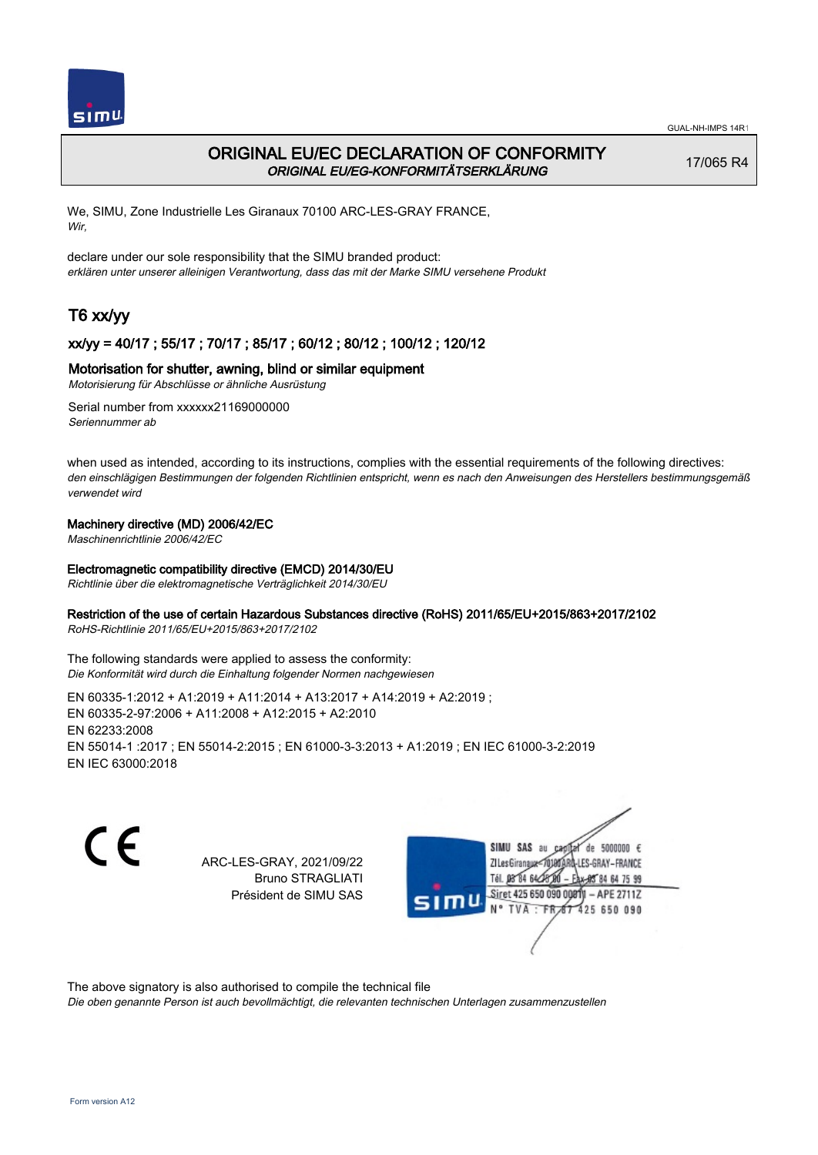

# ORIGINAL EU/EC DECLARATION OF CONFORMITY ORIGINAL EU/EG-KONFORMITÄTSERKLÄRUNG

17/065 R4

We, SIMU, Zone Industrielle Les Giranaux 70100 ARC-LES-GRAY FRANCE, Wir,

declare under our sole responsibility that the SIMU branded product: erklären unter unserer alleinigen Verantwortung, dass das mit der Marke SIMU versehene Produkt

# T6 xx/yy

## xx/yy = 40/17 ; 55/17 ; 70/17 ; 85/17 ; 60/12 ; 80/12 ; 100/12 ; 120/12

### Motorisation for shutter, awning, blind or similar equipment

Motorisierung für Abschlüsse or ähnliche Ausrüstung

Serial number from xxxxxx21169000000 Seriennummer ab

when used as intended, according to its instructions, complies with the essential requirements of the following directives: den einschlägigen Bestimmungen der folgenden Richtlinien entspricht, wenn es nach den Anweisungen des Herstellers bestimmungsgemäß verwendet wird

### Machinery directive (MD) 2006/42/EC

Maschinenrichtlinie 2006/42/EC

#### Electromagnetic compatibility directive (EMCD) 2014/30/EU

Richtlinie über die elektromagnetische Verträglichkeit 2014/30/EU

#### Restriction of the use of certain Hazardous Substances directive (RoHS) 2011/65/EU+2015/863+2017/2102

RoHS-Richtlinie 2011/65/EU+2015/863+2017/2102

The following standards were applied to assess the conformity: Die Konformität wird durch die Einhaltung folgender Normen nachgewiesen

EN 60335‑1:2012 + A1:2019 + A11:2014 + A13:2017 + A14:2019 + A2:2019 ; EN 60335‑2‑97:2006 + A11:2008 + A12:2015 + A2:2010 EN 62233:2008 EN 55014‑1 :2017 ; EN 55014‑2:2015 ; EN 61000‑3‑3:2013 + A1:2019 ; EN IEC 61000‑3‑2:2019 EN IEC 63000:2018

CE

ARC-LES-GRAY, 2021/09/22 Bruno STRAGLIATI Président de SIMU SAS



The above signatory is also authorised to compile the technical file

Die oben genannte Person ist auch bevollmächtigt, die relevanten technischen Unterlagen zusammenzustellen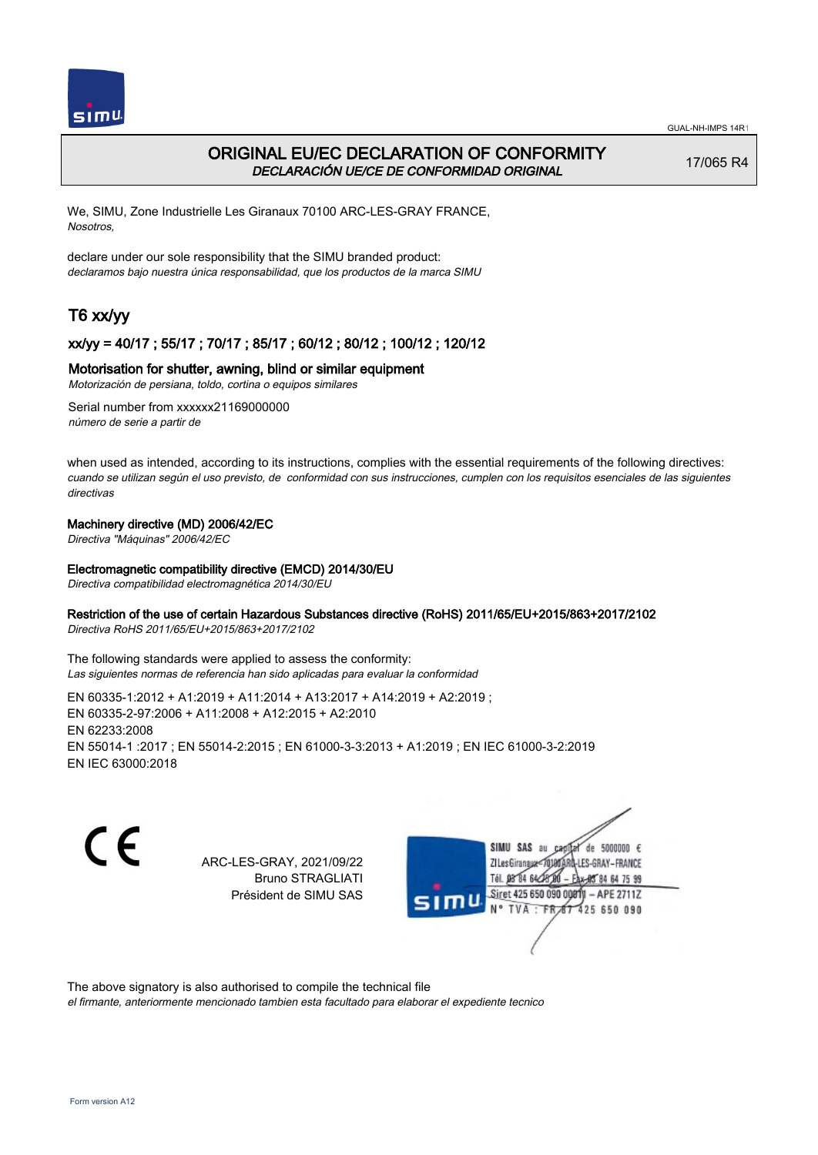

# ORIGINAL EU/EC DECLARATION OF CONFORMITY DECLARACIÓN UE/CE DE CONFORMIDAD ORIGINAL

17/065 R4

We, SIMU, Zone Industrielle Les Giranaux 70100 ARC-LES-GRAY FRANCE, Nosotros,

declare under our sole responsibility that the SIMU branded product: declaramos bajo nuestra única responsabilidad, que los productos de la marca SIMU

# T6 xx/yy

## xx/yy = 40/17 ; 55/17 ; 70/17 ; 85/17 ; 60/12 ; 80/12 ; 100/12 ; 120/12

### Motorisation for shutter, awning, blind or similar equipment

Motorización de persiana, toldo, cortina o equipos similares

Serial number from xxxxxx21169000000 número de serie a partir de

when used as intended, according to its instructions, complies with the essential requirements of the following directives: cuando se utilizan según el uso previsto, de conformidad con sus instrucciones, cumplen con los requisitos esenciales de las siguientes directivas

### Machinery directive (MD) 2006/42/EC

Directiva "Máquinas" 2006/42/EC

#### Electromagnetic compatibility directive (EMCD) 2014/30/EU

Directiva compatibilidad electromagnética 2014/30/EU

#### Restriction of the use of certain Hazardous Substances directive (RoHS) 2011/65/EU+2015/863+2017/2102

Directiva RoHS 2011/65/EU+2015/863+2017/2102

The following standards were applied to assess the conformity: Las siguientes normas de referencia han sido aplicadas para evaluar la conformidad

EN 60335‑1:2012 + A1:2019 + A11:2014 + A13:2017 + A14:2019 + A2:2019 ; EN 60335‑2‑97:2006 + A11:2008 + A12:2015 + A2:2010 EN 62233:2008 EN 55014‑1 :2017 ; EN 55014‑2:2015 ; EN 61000‑3‑3:2013 + A1:2019 ; EN IEC 61000‑3‑2:2019 EN IEC 63000:2018

CE

ARC-LES-GRAY, 2021/09/22 Bruno STRAGLIATI Président de SIMU SAS



The above signatory is also authorised to compile the technical file

el firmante, anteriormente mencionado tambien esta facultado para elaborar el expediente tecnico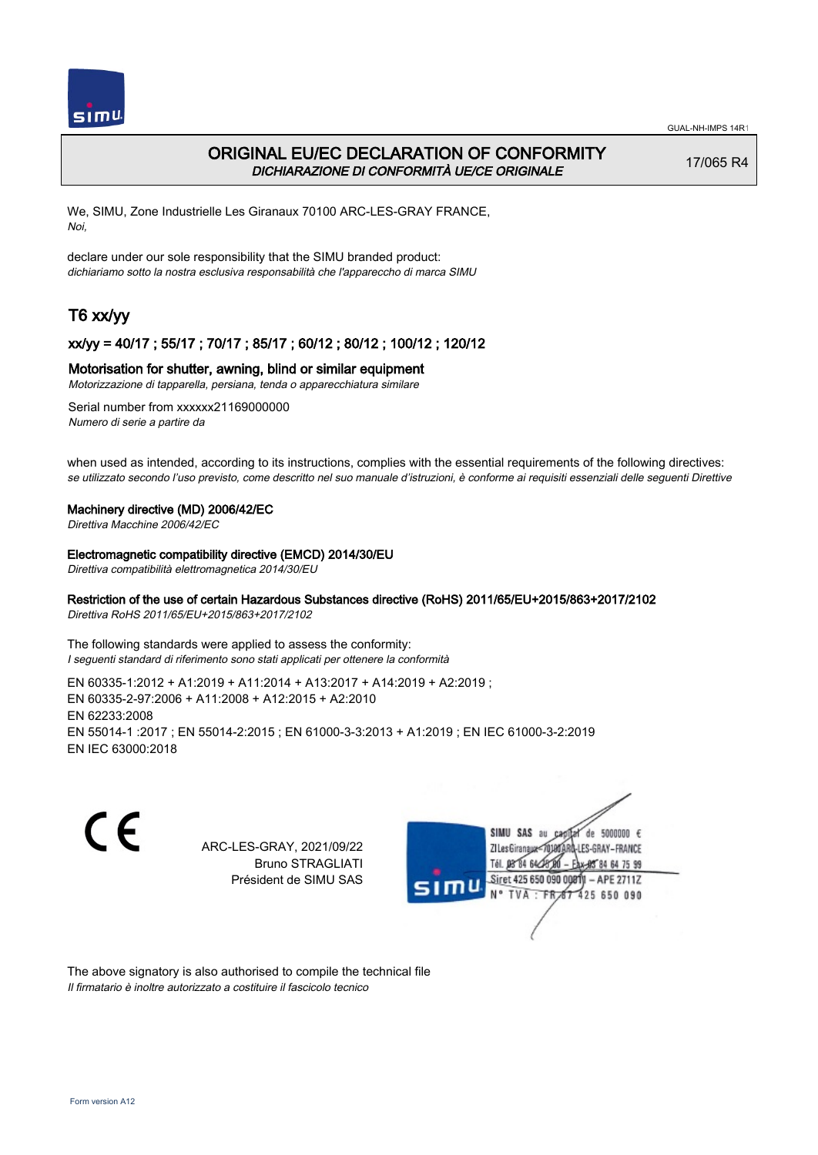

# ORIGINAL EU/EC DECLARATION OF CONFORMITY DICHIARAZIONE DI CONFORMITÀ UE/CE ORIGINALE

17/065 R4

We, SIMU, Zone Industrielle Les Giranaux 70100 ARC-LES-GRAY FRANCE, Noi,

declare under our sole responsibility that the SIMU branded product: dichiariamo sotto la nostra esclusiva responsabilità che l'appareccho di marca SIMU

# T6 xx/yy

### xx/yy = 40/17 ; 55/17 ; 70/17 ; 85/17 ; 60/12 ; 80/12 ; 100/12 ; 120/12

#### Motorisation for shutter, awning, blind or similar equipment

Motorizzazione di tapparella, persiana, tenda o apparecchiatura similare

Serial number from xxxxxx21169000000 Numero di serie a partire da

when used as intended, according to its instructions, complies with the essential requirements of the following directives: se utilizzato secondo l'uso previsto, come descritto nel suo manuale d'istruzioni, è conforme ai requisiti essenziali delle seguenti Direttive

#### Machinery directive (MD) 2006/42/EC

Direttiva Macchine 2006/42/EC

#### Electromagnetic compatibility directive (EMCD) 2014/30/EU

Direttiva compatibilità elettromagnetica 2014/30/EU

## Restriction of the use of certain Hazardous Substances directive (RoHS) 2011/65/EU+2015/863+2017/2102

Direttiva RoHS 2011/65/EU+2015/863+2017/2102

The following standards were applied to assess the conformity: I seguenti standard di riferimento sono stati applicati per ottenere la conformità

EN 60335‑1:2012 + A1:2019 + A11:2014 + A13:2017 + A14:2019 + A2:2019 ; EN 60335‑2‑97:2006 + A11:2008 + A12:2015 + A2:2010 EN 62233:2008 EN 55014‑1 :2017 ; EN 55014‑2:2015 ; EN 61000‑3‑3:2013 + A1:2019 ; EN IEC 61000‑3‑2:2019 EN IEC 63000:2018

C E

ARC-LES-GRAY, 2021/09/22 Bruno STRAGLIATI Président de SIMU SAS



The above signatory is also authorised to compile the technical file Il firmatario è inoltre autorizzato a costituire il fascicolo tecnico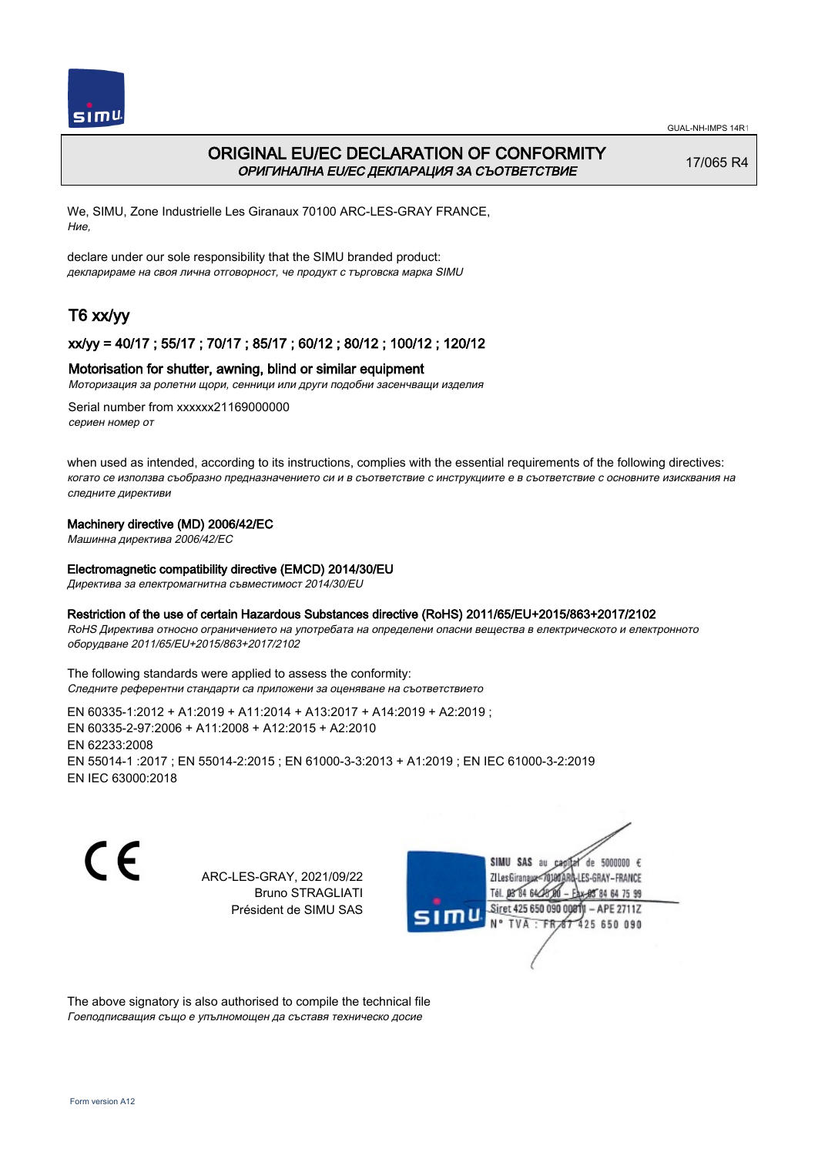

# ORIGINAL EU/EC DECLARATION OF CONFORMITY ОРИГИНАЛНА EU/EC ДЕКЛАРАЦИЯ ЗА СЪОТВЕТСТВИЕ

17/065 R4

We, SIMU, Zone Industrielle Les Giranaux 70100 ARC-LES-GRAY FRANCE, Ние,

declare under our sole responsibility that the SIMU branded product: декларираме на своя лична отговорност, че продукт с търговска марка SIMU

# T6 xx/yy

## xx/yy = 40/17 ; 55/17 ; 70/17 ; 85/17 ; 60/12 ; 80/12 ; 100/12 ; 120/12

#### Motorisation for shutter, awning, blind or similar equipment

Моторизация за ролетни щори, сенници или други подобни засенчващи изделия

Serial number from xxxxxx21169000000 сериен номер от

when used as intended, according to its instructions, complies with the essential requirements of the following directives: когато се използва съобразно предназначението си и в съответствие с инструкциите е в съответствие с основните изисквания на следните директиви

### Machinery directive (MD) 2006/42/EC

Машинна директива 2006/42/EC

#### Electromagnetic compatibility directive (EMCD) 2014/30/EU

Директива за електромагнитна съвместимост 2014/30/EU

#### Restriction of the use of certain Hazardous Substances directive (RoHS) 2011/65/EU+2015/863+2017/2102

RoHS Директива относно ограничението на употребата на определени опасни вещества в електрическото и електронното оборудване 2011/65/EU+2015/863+2017/2102

The following standards were applied to assess the conformity: Следните референтни стандарти са приложени за оценяване на съответствието

EN 60335‑1:2012 + A1:2019 + A11:2014 + A13:2017 + A14:2019 + A2:2019 ; EN 60335‑2‑97:2006 + A11:2008 + A12:2015 + A2:2010 EN 62233:2008 EN 55014‑1 :2017 ; EN 55014‑2:2015 ; EN 61000‑3‑3:2013 + A1:2019 ; EN IEC 61000‑3‑2:2019 EN IEC 63000:2018

C E

ARC-LES-GRAY, 2021/09/22 Bruno STRAGLIATI Président de SIMU SAS

SIMU SAS au  $cardiz$  de 5000000  $\epsilon$ LES-GRAY-FRANCE ZI Les Giranaux</DJ80AF Tél. 08 84 64 28 584 64 75 99 Siret 425 650 090 008TV  $-$  APE 2711Z N° TVA : FRAT 425 650 090

The above signatory is also authorised to compile the technical file Гоеподписващия също е упълномощен да съставя техническо досие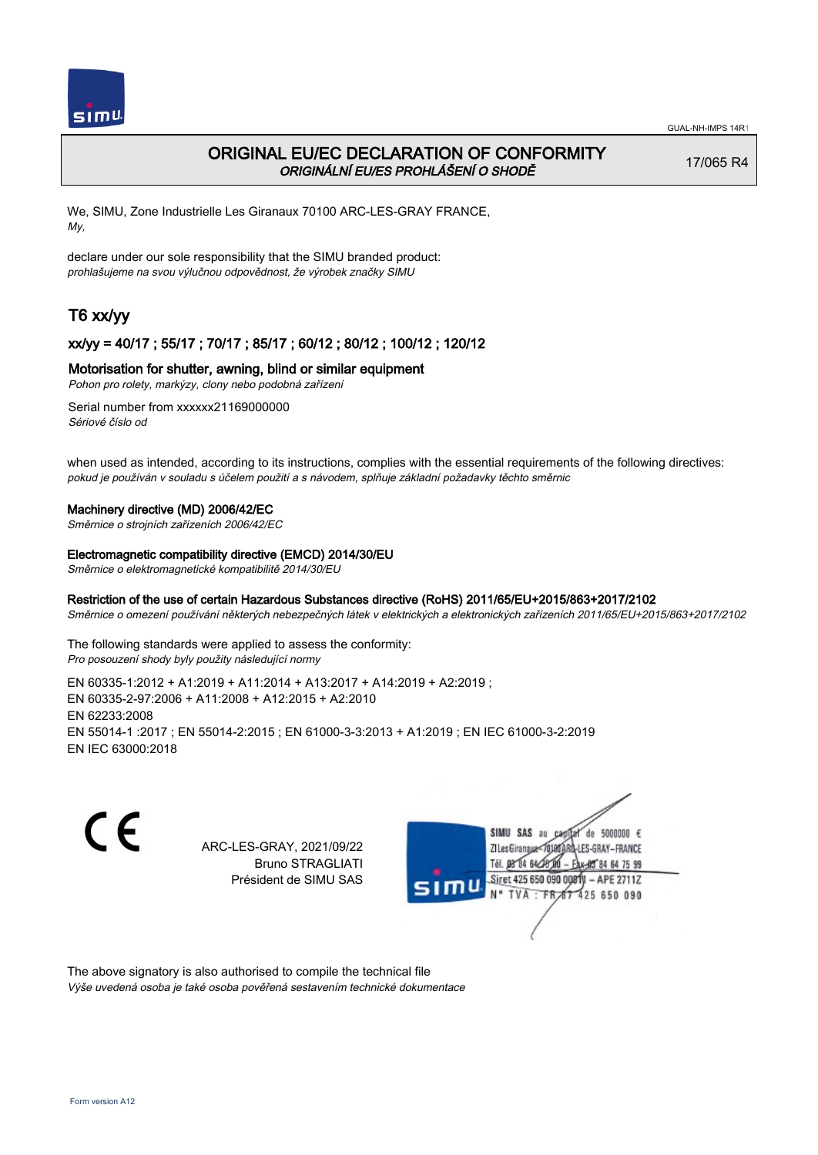

# ORIGINAL EU/EC DECLARATION OF CONFORMITY ORIGINÁLNÍ EU/ES PROHLÁŠENÍ O SHODĚ

17/065 R4

We, SIMU, Zone Industrielle Les Giranaux 70100 ARC-LES-GRAY FRANCE, My,

declare under our sole responsibility that the SIMU branded product: prohlašujeme na svou výlučnou odpovědnost, že výrobek značky SIMU

# T6 xx/yy

## xx/yy = 40/17 ; 55/17 ; 70/17 ; 85/17 ; 60/12 ; 80/12 ; 100/12 ; 120/12

### Motorisation for shutter, awning, blind or similar equipment

Pohon pro rolety, markýzy, clony nebo podobná zařízení

Serial number from xxxxxx21169000000 Sériové číslo od

when used as intended, according to its instructions, complies with the essential requirements of the following directives: pokud je používán v souladu s účelem použití a s návodem, splňuje základní požadavky těchto směrnic

#### Machinery directive (MD) 2006/42/EC

Směrnice o strojních zařízeních 2006/42/EC

#### Electromagnetic compatibility directive (EMCD) 2014/30/EU

Směrnice o elektromagnetické kompatibilitě 2014/30/EU

### Restriction of the use of certain Hazardous Substances directive (RoHS) 2011/65/EU+2015/863+2017/2102

Směrnice o omezení používání některých nebezpečných látek v elektrických a elektronických zařízeních 2011/65/EU+2015/863+2017/2102

The following standards were applied to assess the conformity: Pro posouzení shody byly použity následující normy

EN 60335‑1:2012 + A1:2019 + A11:2014 + A13:2017 + A14:2019 + A2:2019 ; EN 60335‑2‑97:2006 + A11:2008 + A12:2015 + A2:2010 EN 62233:2008 EN 55014‑1 :2017 ; EN 55014‑2:2015 ; EN 61000‑3‑3:2013 + A1:2019 ; EN IEC 61000‑3‑2:2019 EN IEC 63000:2018

C E

ARC-LES-GRAY, 2021/09/22 Bruno STRAGLIATI Président de SIMU SAS



The above signatory is also authorised to compile the technical file Výše uvedená osoba je také osoba pověřená sestavením technické dokumentace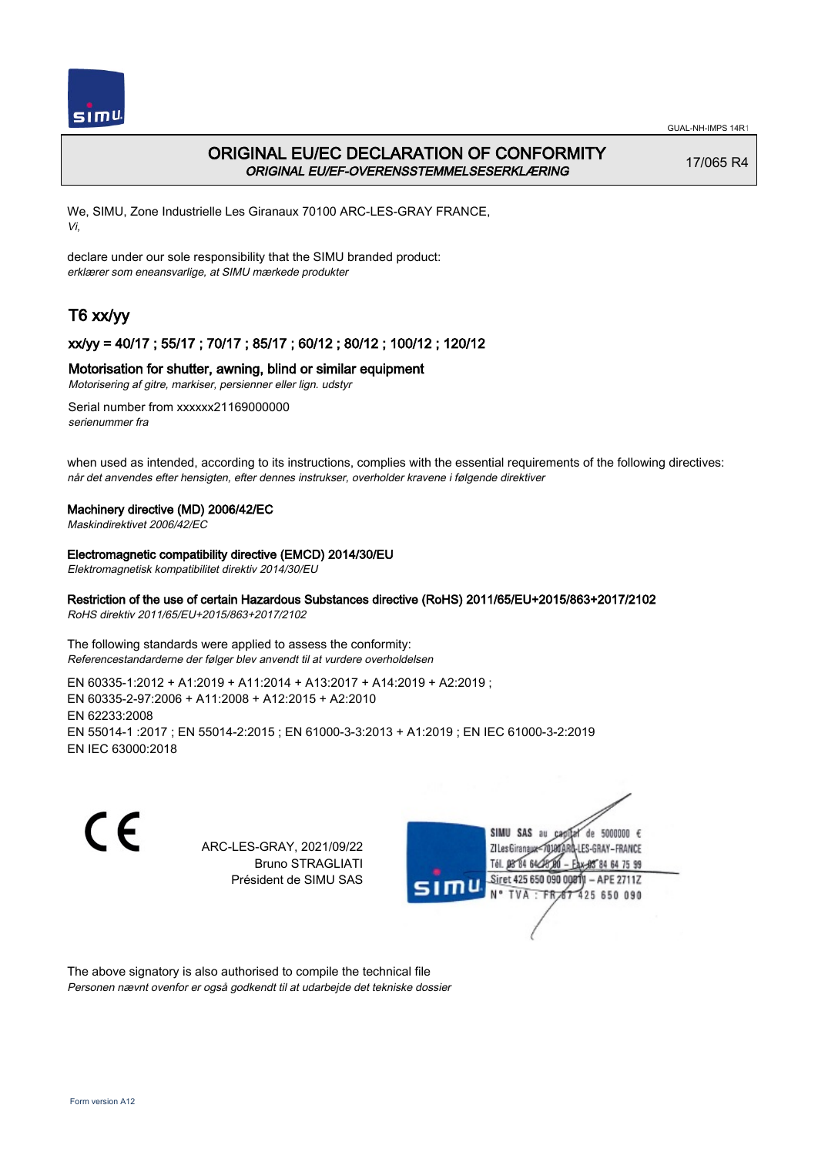

# ORIGINAL EU/EC DECLARATION OF CONFORMITY ORIGINAL EU/EF-OVERENSSTEMMELSESERKLÆRING

17/065 R4

We, SIMU, Zone Industrielle Les Giranaux 70100 ARC-LES-GRAY FRANCE, Vi,

declare under our sole responsibility that the SIMU branded product: erklærer som eneansvarlige, at SIMU mærkede produkter

# T6 xx/yy

## xx/yy = 40/17 ; 55/17 ; 70/17 ; 85/17 ; 60/12 ; 80/12 ; 100/12 ; 120/12

### Motorisation for shutter, awning, blind or similar equipment

Motorisering af gitre, markiser, persienner eller lign. udstyr

Serial number from xxxxxx21169000000 serienummer fra

when used as intended, according to its instructions, complies with the essential requirements of the following directives: når det anvendes efter hensigten, efter dennes instrukser, overholder kravene i følgende direktiver

### Machinery directive (MD) 2006/42/EC

Maskindirektivet 2006/42/EC

#### Electromagnetic compatibility directive (EMCD) 2014/30/EU

Elektromagnetisk kompatibilitet direktiv 2014/30/EU

## Restriction of the use of certain Hazardous Substances directive (RoHS) 2011/65/EU+2015/863+2017/2102

RoHS direktiv 2011/65/EU+2015/863+2017/2102

The following standards were applied to assess the conformity: Referencestandarderne der følger blev anvendt til at vurdere overholdelsen

EN 60335‑1:2012 + A1:2019 + A11:2014 + A13:2017 + A14:2019 + A2:2019 ; EN 60335‑2‑97:2006 + A11:2008 + A12:2015 + A2:2010 EN 62233:2008 EN 55014‑1 :2017 ; EN 55014‑2:2015 ; EN 61000‑3‑3:2013 + A1:2019 ; EN IEC 61000‑3‑2:2019 EN IEC 63000:2018

C E

ARC-LES-GRAY, 2021/09/22 Bruno STRAGLIATI Président de SIMU SAS



The above signatory is also authorised to compile the technical file Personen nævnt ovenfor er også godkendt til at udarbejde det tekniske dossier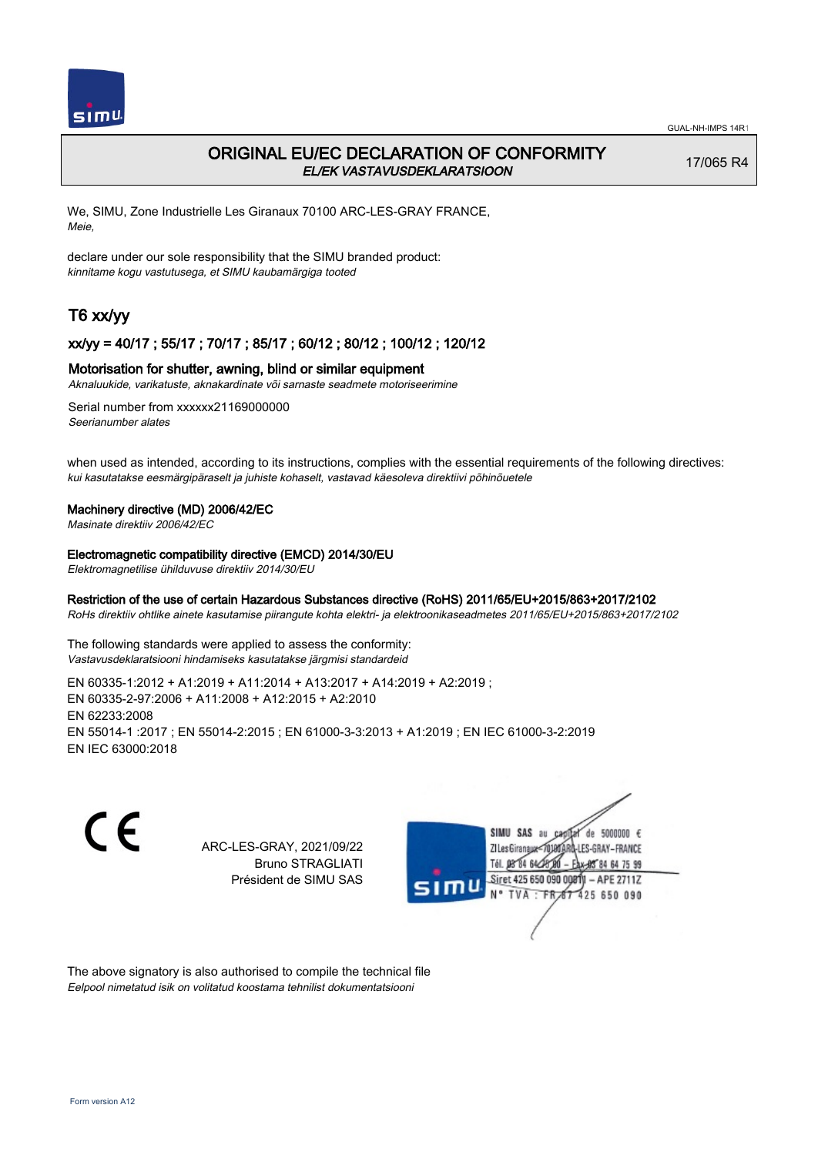

# ORIGINAL EU/EC DECLARATION OF CONFORMITY EL/EK VASTAVUSDEKLARATSIOON

17/065 R4

We, SIMU, Zone Industrielle Les Giranaux 70100 ARC-LES-GRAY FRANCE, Meie,

declare under our sole responsibility that the SIMU branded product: kinnitame kogu vastutusega, et SIMU kaubamärgiga tooted

# T6 xx/yy

### xx/yy = 40/17 ; 55/17 ; 70/17 ; 85/17 ; 60/12 ; 80/12 ; 100/12 ; 120/12

### Motorisation for shutter, awning, blind or similar equipment

Aknaluukide, varikatuste, aknakardinate või sarnaste seadmete motoriseerimine

Serial number from xxxxxx21169000000 Seerianumber alates

when used as intended, according to its instructions, complies with the essential requirements of the following directives: kui kasutatakse eesmärgipäraselt ja juhiste kohaselt, vastavad käesoleva direktiivi põhinõuetele

#### Machinery directive (MD) 2006/42/EC

Masinate direktiiv 2006/42/EC

#### Electromagnetic compatibility directive (EMCD) 2014/30/EU

Elektromagnetilise ühilduvuse direktiiv 2014/30/EU

### Restriction of the use of certain Hazardous Substances directive (RoHS) 2011/65/EU+2015/863+2017/2102

RoHs direktiiv ohtlike ainete kasutamise piirangute kohta elektri- ja elektroonikaseadmetes 2011/65/EU+2015/863+2017/2102

The following standards were applied to assess the conformity: Vastavusdeklaratsiooni hindamiseks kasutatakse järgmisi standardeid

EN 60335‑1:2012 + A1:2019 + A11:2014 + A13:2017 + A14:2019 + A2:2019 ; EN 60335‑2‑97:2006 + A11:2008 + A12:2015 + A2:2010 EN 62233:2008 EN 55014‑1 :2017 ; EN 55014‑2:2015 ; EN 61000‑3‑3:2013 + A1:2019 ; EN IEC 61000‑3‑2:2019 EN IEC 63000:2018

C E

ARC-LES-GRAY, 2021/09/22 Bruno STRAGLIATI Président de SIMU SAS



The above signatory is also authorised to compile the technical file Eelpool nimetatud isik on volitatud koostama tehnilist dokumentatsiooni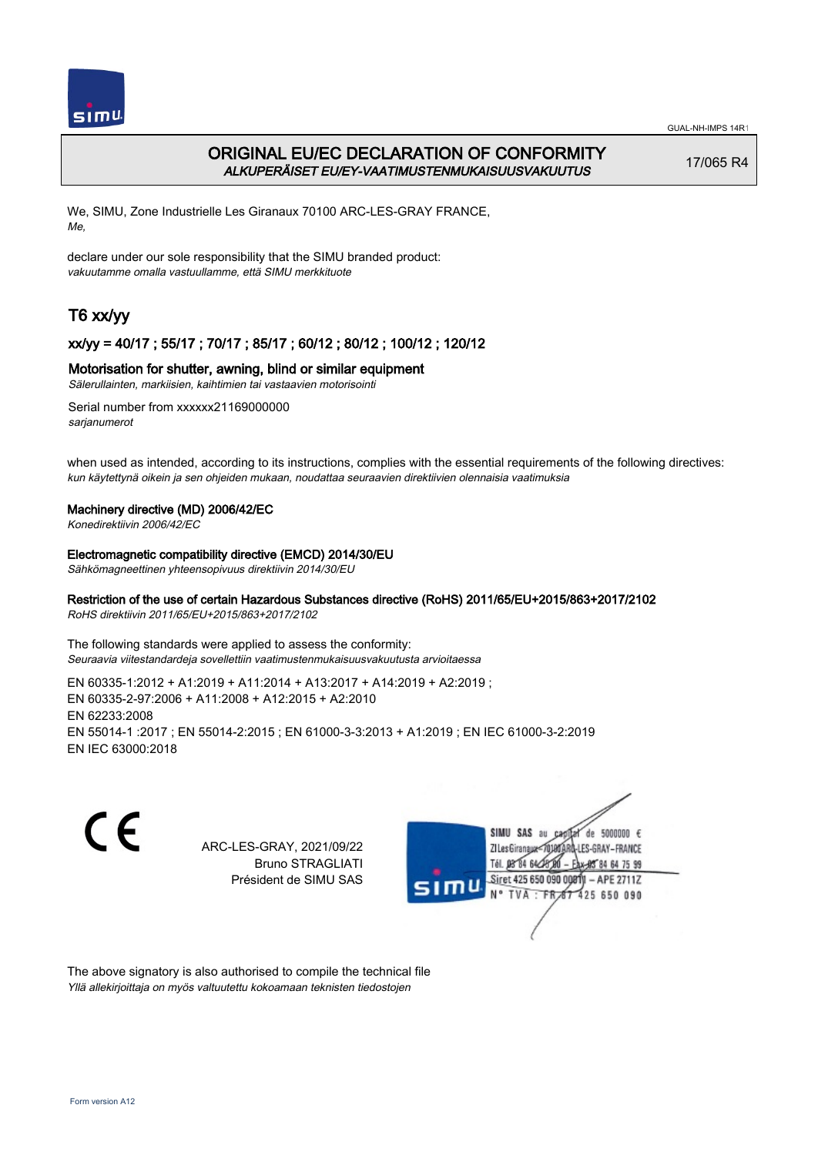

# ORIGINAL EU/EC DECLARATION OF CONFORMITY ALKUPERÄISET EU/EY-VAATIMUSTENMUKAISUUSVAKUUTUS

17/065 R4

We, SIMU, Zone Industrielle Les Giranaux 70100 ARC-LES-GRAY FRANCE, Me,

declare under our sole responsibility that the SIMU branded product: vakuutamme omalla vastuullamme, että SIMU merkkituote

# T6 xx/yy

## xx/yy = 40/17 ; 55/17 ; 70/17 ; 85/17 ; 60/12 ; 80/12 ; 100/12 ; 120/12

### Motorisation for shutter, awning, blind or similar equipment

Sälerullainten, markiisien, kaihtimien tai vastaavien motorisointi

Serial number from xxxxxx21169000000 sarianumerot

when used as intended, according to its instructions, complies with the essential requirements of the following directives: kun käytettynä oikein ja sen ohjeiden mukaan, noudattaa seuraavien direktiivien olennaisia vaatimuksia

#### Machinery directive (MD) 2006/42/EC

Konedirektiivin 2006/42/EC

#### Electromagnetic compatibility directive (EMCD) 2014/30/EU

Sähkömagneettinen yhteensopivuus direktiivin 2014/30/EU

# Restriction of the use of certain Hazardous Substances directive (RoHS) 2011/65/EU+2015/863+2017/2102

RoHS direktiivin 2011/65/EU+2015/863+2017/2102

The following standards were applied to assess the conformity: Seuraavia viitestandardeja sovellettiin vaatimustenmukaisuusvakuutusta arvioitaessa

EN 60335‑1:2012 + A1:2019 + A11:2014 + A13:2017 + A14:2019 + A2:2019 ; EN 60335‑2‑97:2006 + A11:2008 + A12:2015 + A2:2010 EN 62233:2008 EN 55014‑1 :2017 ; EN 55014‑2:2015 ; EN 61000‑3‑3:2013 + A1:2019 ; EN IEC 61000‑3‑2:2019 EN IEC 63000:2018

C E

ARC-LES-GRAY, 2021/09/22 Bruno STRAGLIATI Président de SIMU SAS



The above signatory is also authorised to compile the technical file Yllä allekirjoittaja on myös valtuutettu kokoamaan teknisten tiedostojen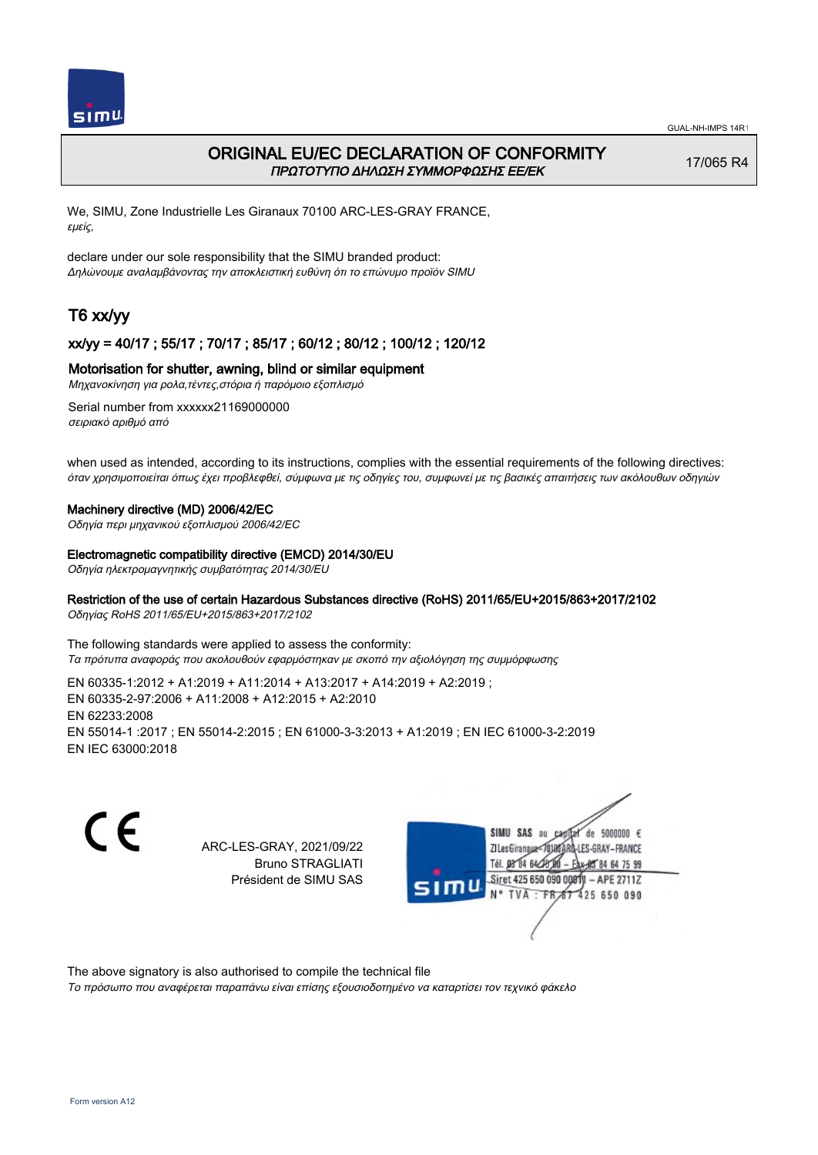

# ORIGINAL EU/EC DECLARATION OF CONFORMITY ΠΡΩΤΟΤΥΠΟ ΔΗΛΩΣΗ ΣΥΜΜΟΡΦΩΣΗΣ ΕΕ/EK

17/065 R4

We, SIMU, Zone Industrielle Les Giranaux 70100 ARC-LES-GRAY FRANCE, εμείς,

declare under our sole responsibility that the SIMU branded product: Δηλώνουμε αναλαμβάνοντας την αποκλειστική ευθύνη ότι το επώνυμο προϊόν SIMU

# T6 xx/yy

### xx/yy = 40/17 ; 55/17 ; 70/17 ; 85/17 ; 60/12 ; 80/12 ; 100/12 ; 120/12

### Motorisation for shutter, awning, blind or similar equipment

Μηχανοκίνηση για ρολα,τέντες,στόρια ή παρόμοιο εξοπλισμό

Serial number from xxxxxx21169000000 σειριακό αριθμό από

when used as intended, according to its instructions, complies with the essential requirements of the following directives: όταν χρησιμοποιείται όπως έχει προβλεφθεί, σύμφωνα με τις οδηγίες του, συμφωνεί με τις βασικές απαιτήσεις των ακόλουθων οδηγιών

#### Machinery directive (MD) 2006/42/EC

Οδηγία περι μηχανικού εξοπλισμού 2006/42/EC

#### Electromagnetic compatibility directive (EMCD) 2014/30/EU

Οδηγία ηλεκτρομαγνητικής συμβατότητας 2014/30/EU

## Restriction of the use of certain Hazardous Substances directive (RoHS) 2011/65/EU+2015/863+2017/2102

Οδηγίας RoHS 2011/65/EU+2015/863+2017/2102

The following standards were applied to assess the conformity: Τα πρότυπα αναφοράς που ακολουθούν εφαρμόστηκαν με σκοπό την αξιολόγηση της συμμόρφωσης

EN 60335‑1:2012 + A1:2019 + A11:2014 + A13:2017 + A14:2019 + A2:2019 ; EN 60335‑2‑97:2006 + A11:2008 + A12:2015 + A2:2010 EN 62233:2008 EN 55014‑1 :2017 ; EN 55014‑2:2015 ; EN 61000‑3‑3:2013 + A1:2019 ; EN IEC 61000‑3‑2:2019 EN IEC 63000:2018

C E

ARC-LES-GRAY, 2021/09/22 Bruno STRAGLIATI Président de SIMU SAS



The above signatory is also authorised to compile the technical file

Το πρόσωπο που αναφέρεται παραπάνω είναι επίσης εξουσιοδοτημένο να καταρτίσει τον τεχνικό φάκελο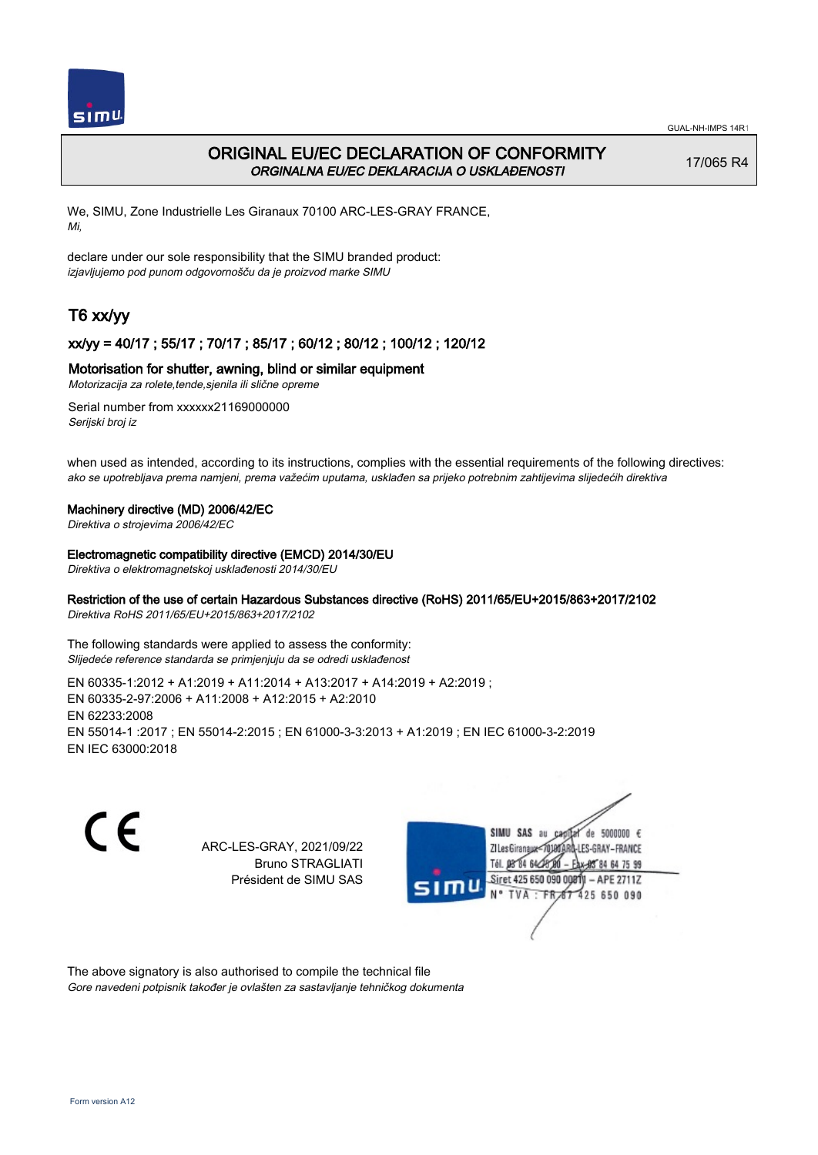

# ORIGINAL EU/EC DECLARATION OF CONFORMITY ORGINALNA EU/EC DEKLARACIJA O USKLAĐENOSTI

17/065 R4

We, SIMU, Zone Industrielle Les Giranaux 70100 ARC-LES-GRAY FRANCE, Mi,

declare under our sole responsibility that the SIMU branded product: izjavljujemo pod punom odgovornošču da je proizvod marke SIMU

# T6 xx/yy

## xx/yy = 40/17 ; 55/17 ; 70/17 ; 85/17 ; 60/12 ; 80/12 ; 100/12 ; 120/12

### Motorisation for shutter, awning, blind or similar equipment

Motorizacija za rolete,tende,sjenila ili slične opreme

Serial number from xxxxxx21169000000 Serijski broj iz

when used as intended, according to its instructions, complies with the essential requirements of the following directives: ako se upotrebljava prema namjeni, prema važećim uputama, usklađen sa prijeko potrebnim zahtijevima slijedećih direktiva

#### Machinery directive (MD) 2006/42/EC

Direktiva o strojevima 2006/42/EC

#### Electromagnetic compatibility directive (EMCD) 2014/30/EU

Direktiva o elektromagnetskoj usklađenosti 2014/30/EU

## Restriction of the use of certain Hazardous Substances directive (RoHS) 2011/65/EU+2015/863+2017/2102

Direktiva RoHS 2011/65/EU+2015/863+2017/2102

The following standards were applied to assess the conformity: Slijedeće reference standarda se primjenjuju da se odredi usklađenost

EN 60335‑1:2012 + A1:2019 + A11:2014 + A13:2017 + A14:2019 + A2:2019 ; EN 60335‑2‑97:2006 + A11:2008 + A12:2015 + A2:2010 EN 62233:2008 EN 55014‑1 :2017 ; EN 55014‑2:2015 ; EN 61000‑3‑3:2013 + A1:2019 ; EN IEC 61000‑3‑2:2019 EN IEC 63000:2018

C E

ARC-LES-GRAY, 2021/09/22 Bruno STRAGLIATI Président de SIMU SAS



The above signatory is also authorised to compile the technical file Gore navedeni potpisnik također je ovlašten za sastavljanje tehničkog dokumenta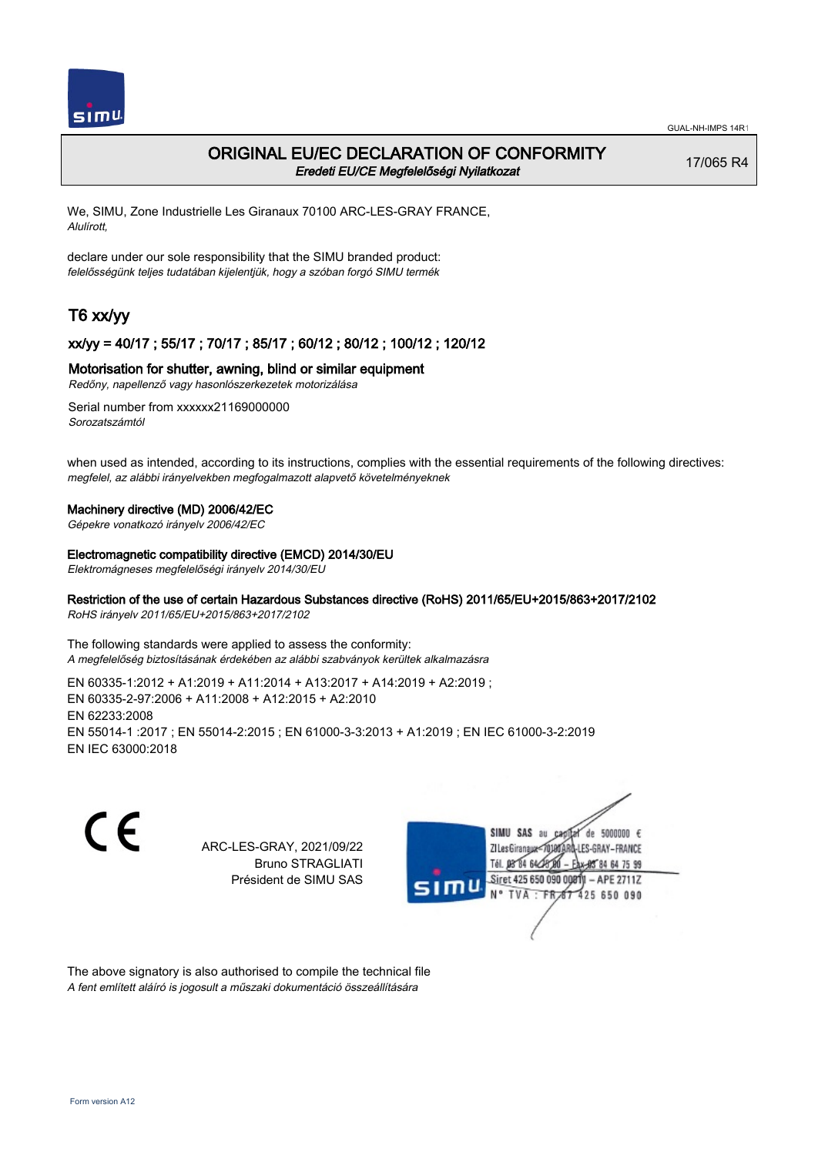

# ORIGINAL EU/EC DECLARATION OF CONFORMITY Eredeti EU/CE Megfelelőségi Nyilatkozat

17/065 R4

We, SIMU, Zone Industrielle Les Giranaux 70100 ARC-LES-GRAY FRANCE, Alulírott,

declare under our sole responsibility that the SIMU branded product: felelősségünk teljes tudatában kijelentjük, hogy a szóban forgó SIMU termék

# T6 xx/yy

### xx/yy = 40/17 ; 55/17 ; 70/17 ; 85/17 ; 60/12 ; 80/12 ; 100/12 ; 120/12

### Motorisation for shutter, awning, blind or similar equipment

Redőny, napellenző vagy hasonlószerkezetek motorizálása

Serial number from xxxxxx21169000000 Sorozatszámtól

when used as intended, according to its instructions, complies with the essential requirements of the following directives: megfelel, az alábbi irányelvekben megfogalmazott alapvető követelményeknek

#### Machinery directive (MD) 2006/42/EC

Gépekre vonatkozó irányelv 2006/42/EC

#### Electromagnetic compatibility directive (EMCD) 2014/30/EU

Elektromágneses megfelelőségi irányelv 2014/30/EU

## Restriction of the use of certain Hazardous Substances directive (RoHS) 2011/65/EU+2015/863+2017/2102

RoHS irányelv 2011/65/EU+2015/863+2017/2102

The following standards were applied to assess the conformity: A megfelelőség biztosításának érdekében az alábbi szabványok kerültek alkalmazásra

EN 60335‑1:2012 + A1:2019 + A11:2014 + A13:2017 + A14:2019 + A2:2019 ; EN 60335‑2‑97:2006 + A11:2008 + A12:2015 + A2:2010 EN 62233:2008 EN 55014‑1 :2017 ; EN 55014‑2:2015 ; EN 61000‑3‑3:2013 + A1:2019 ; EN IEC 61000‑3‑2:2019 EN IEC 63000:2018

C E

ARC-LES-GRAY, 2021/09/22 Bruno STRAGLIATI Président de SIMU SAS



The above signatory is also authorised to compile the technical file A fent említett aláíró is jogosult a műszaki dokumentáció összeállítására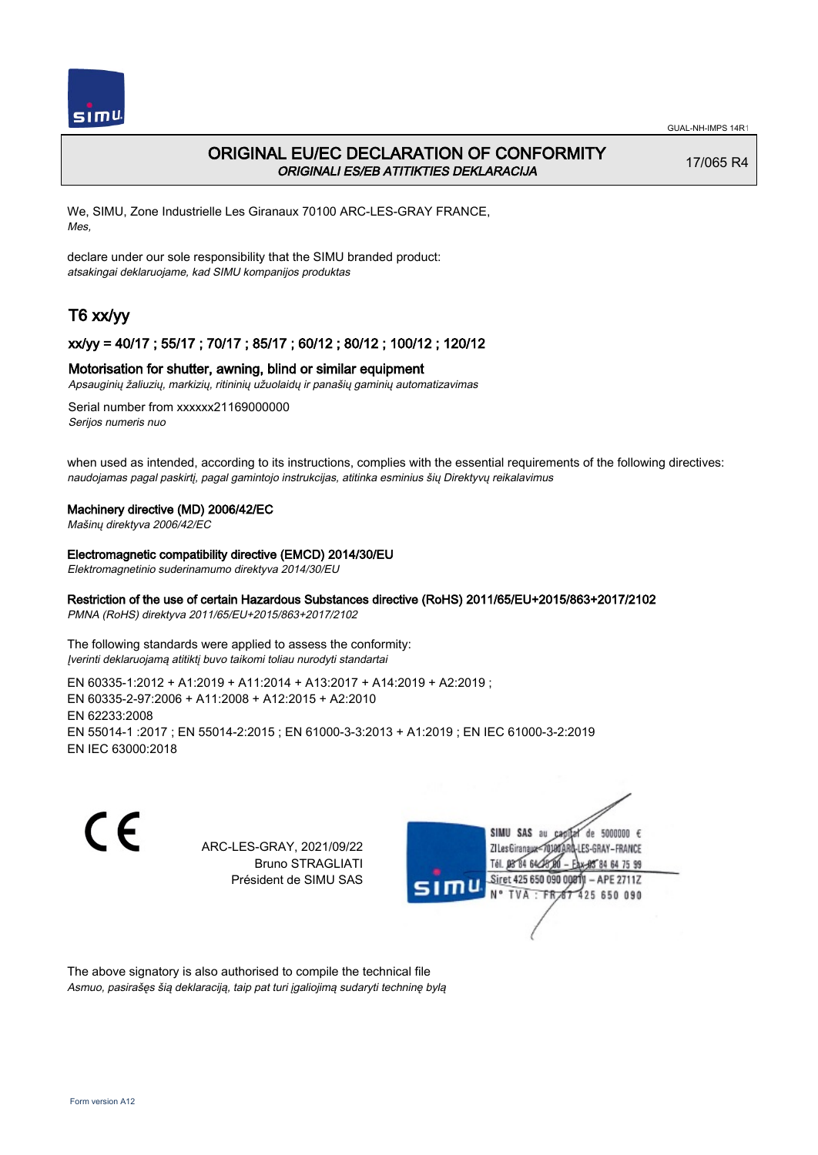

# ORIGINAL EU/EC DECLARATION OF CONFORMITY ORIGINALI ES/EB ATITIKTIES DEKLARACIJA

17/065 R4

We, SIMU, Zone Industrielle Les Giranaux 70100 ARC-LES-GRAY FRANCE, Mes,

declare under our sole responsibility that the SIMU branded product: atsakingai deklaruojame, kad SIMU kompanijos produktas

# T6 xx/yy

## xx/yy = 40/17 ; 55/17 ; 70/17 ; 85/17 ; 60/12 ; 80/12 ; 100/12 ; 120/12

#### Motorisation for shutter, awning, blind or similar equipment

Apsauginių žaliuzių, markizių, ritininių užuolaidų ir panašių gaminių automatizavimas

Serial number from xxxxxx21169000000 Serijos numeris nuo

when used as intended, according to its instructions, complies with the essential requirements of the following directives: naudojamas pagal paskirtį, pagal gamintojo instrukcijas, atitinka esminius šių Direktyvų reikalavimus

#### Machinery directive (MD) 2006/42/EC

Mašinų direktyva 2006/42/EC

Electromagnetic compatibility directive (EMCD) 2014/30/EU

Elektromagnetinio suderinamumo direktyva 2014/30/EU

## Restriction of the use of certain Hazardous Substances directive (RoHS) 2011/65/EU+2015/863+2017/2102

PMNA (RoHS) direktyva 2011/65/EU+2015/863+2017/2102

The following standards were applied to assess the conformity: Įverinti deklaruojamą atitiktį buvo taikomi toliau nurodyti standartai

EN 60335‑1:2012 + A1:2019 + A11:2014 + A13:2017 + A14:2019 + A2:2019 ; EN 60335‑2‑97:2006 + A11:2008 + A12:2015 + A2:2010 EN 62233:2008 EN 55014‑1 :2017 ; EN 55014‑2:2015 ; EN 61000‑3‑3:2013 + A1:2019 ; EN IEC 61000‑3‑2:2019 EN IEC 63000:2018

C E

ARC-LES-GRAY, 2021/09/22 Bruno STRAGLIATI Président de SIMU SAS



The above signatory is also authorised to compile the technical file Asmuo, pasirašęs šią deklaraciją, taip pat turi įgaliojimą sudaryti techninę bylą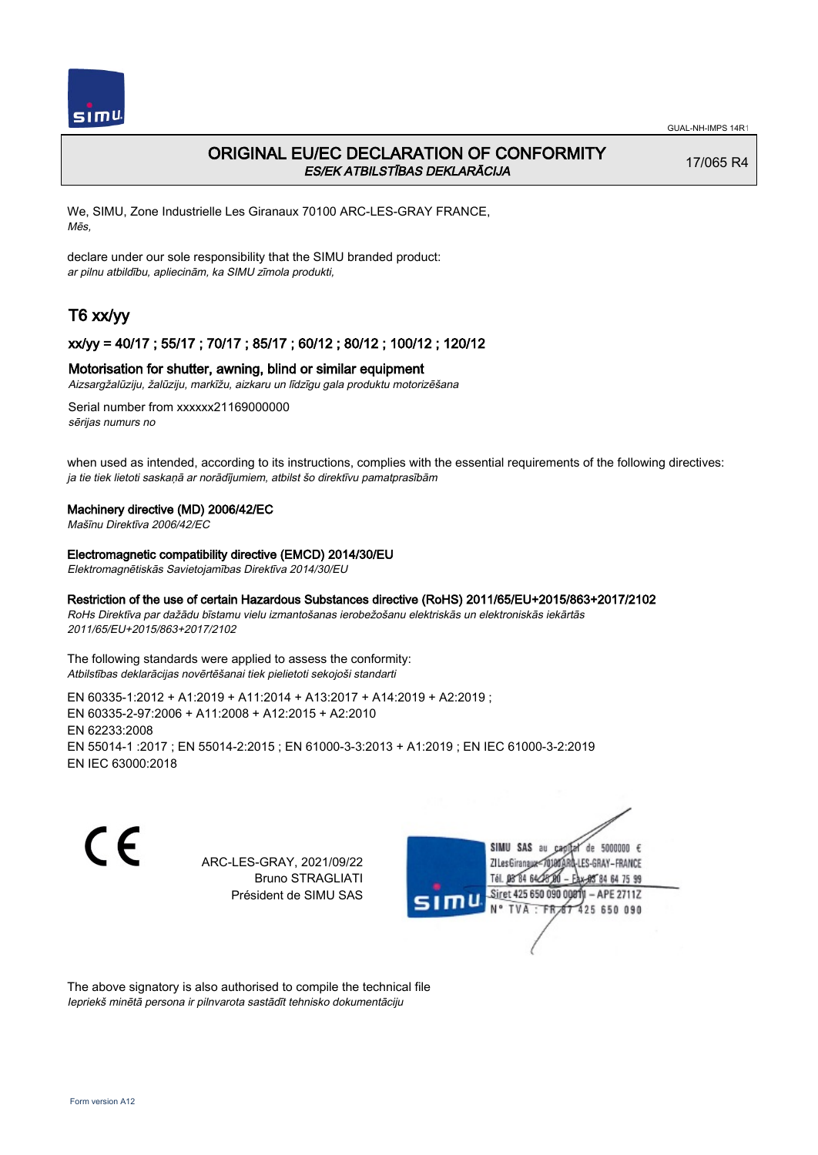

# ORIGINAL EU/EC DECLARATION OF CONFORMITY ES/EK ATBILSTĪBAS DEKLARĀCIJA

17/065 R4

We, SIMU, Zone Industrielle Les Giranaux 70100 ARC-LES-GRAY FRANCE, Mēs,

declare under our sole responsibility that the SIMU branded product: ar pilnu atbildību, apliecinām, ka SIMU zīmola produkti,

# T6 xx/yy

### xx/yy = 40/17 ; 55/17 ; 70/17 ; 85/17 ; 60/12 ; 80/12 ; 100/12 ; 120/12

#### Motorisation for shutter, awning, blind or similar equipment

Aizsargžalūziju, žalūziju, markīžu, aizkaru un līdzīgu gala produktu motorizēšana

Serial number from xxxxxx21169000000 sērijas numurs no

when used as intended, according to its instructions, complies with the essential requirements of the following directives: ja tie tiek lietoti saskaņā ar norādījumiem, atbilst šo direktīvu pamatprasībām

#### Machinery directive (MD) 2006/42/EC

Mašīnu Direktīva 2006/42/EC

Electromagnetic compatibility directive (EMCD) 2014/30/EU

Elektromagnētiskās Savietojamības Direktīva 2014/30/EU

#### Restriction of the use of certain Hazardous Substances directive (RoHS) 2011/65/EU+2015/863+2017/2102

RoHs Direktīva par dažādu bīstamu vielu izmantošanas ierobežošanu elektriskās un elektroniskās iekārtās 2011/65/EU+2015/863+2017/2102

The following standards were applied to assess the conformity: Atbilstības deklarācijas novērtēšanai tiek pielietoti sekojoši standarti

EN 60335‑1:2012 + A1:2019 + A11:2014 + A13:2017 + A14:2019 + A2:2019 ; EN 60335‑2‑97:2006 + A11:2008 + A12:2015 + A2:2010 EN 62233:2008 EN 55014‑1 :2017 ; EN 55014‑2:2015 ; EN 61000‑3‑3:2013 + A1:2019 ; EN IEC 61000‑3‑2:2019 EN IEC 63000:2018

CE

ARC-LES-GRAY, 2021/09/22 Bruno STRAGLIATI Président de SIMU SAS



The above signatory is also authorised to compile the technical file Iepriekš minētā persona ir pilnvarota sastādīt tehnisko dokumentāciju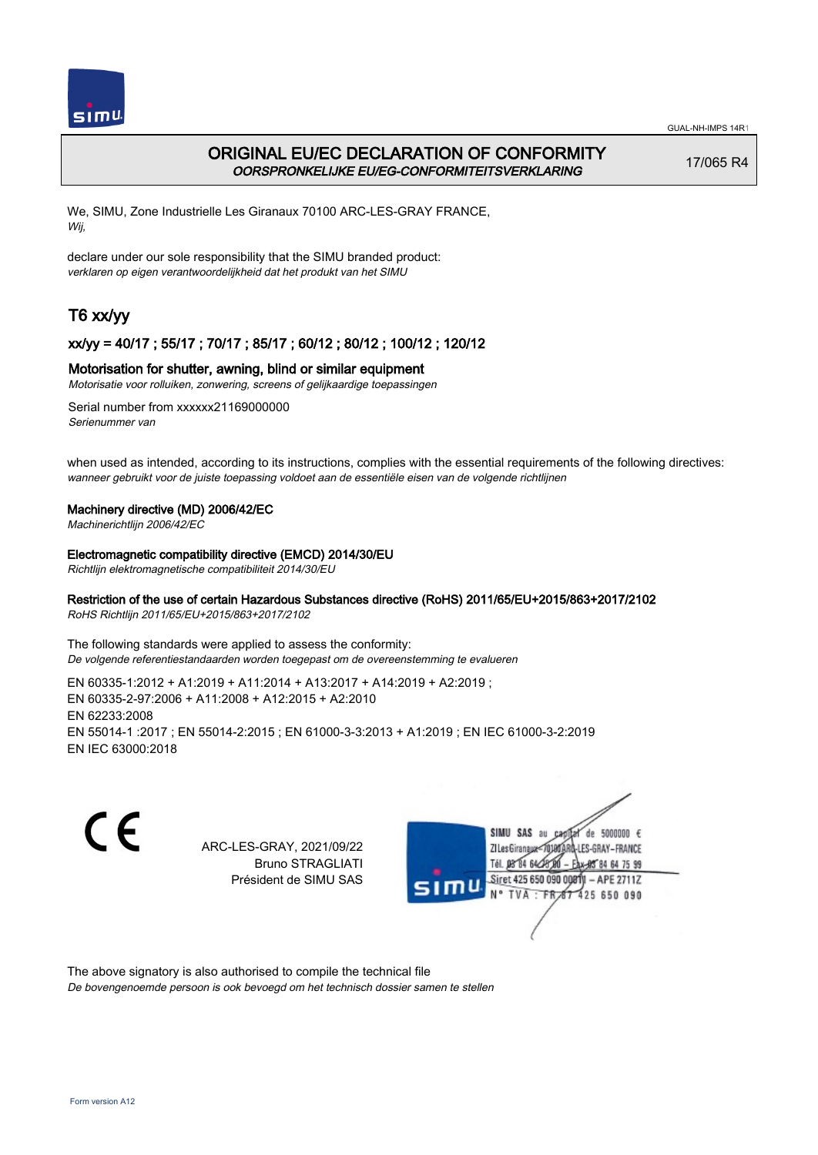

# ORIGINAL EU/EC DECLARATION OF CONFORMITY OORSPRONKELIJKE EU/EG-CONFORMITEITSVERKLARING

17/065 R4

We, SIMU, Zone Industrielle Les Giranaux 70100 ARC-LES-GRAY FRANCE, Wij,

declare under our sole responsibility that the SIMU branded product: verklaren op eigen verantwoordelijkheid dat het produkt van het SIMU

# T6 xx/yy

## xx/yy = 40/17 ; 55/17 ; 70/17 ; 85/17 ; 60/12 ; 80/12 ; 100/12 ; 120/12

### Motorisation for shutter, awning, blind or similar equipment

Motorisatie voor rolluiken, zonwering, screens of gelijkaardige toepassingen

Serial number from xxxxxx21169000000 Serienummer van

when used as intended, according to its instructions, complies with the essential requirements of the following directives: wanneer gebruikt voor de juiste toepassing voldoet aan de essentiële eisen van de volgende richtlijnen

### Machinery directive (MD) 2006/42/EC

Machinerichtlijn 2006/42/EC

Electromagnetic compatibility directive (EMCD) 2014/30/EU

Richtlijn elektromagnetische compatibiliteit 2014/30/EU

## Restriction of the use of certain Hazardous Substances directive (RoHS) 2011/65/EU+2015/863+2017/2102

RoHS Richtlijn 2011/65/EU+2015/863+2017/2102

The following standards were applied to assess the conformity: De volgende referentiestandaarden worden toegepast om de overeenstemming te evalueren

EN 60335‑1:2012 + A1:2019 + A11:2014 + A13:2017 + A14:2019 + A2:2019 ; EN 60335‑2‑97:2006 + A11:2008 + A12:2015 + A2:2010 EN 62233:2008 EN 55014‑1 :2017 ; EN 55014‑2:2015 ; EN 61000‑3‑3:2013 + A1:2019 ; EN IEC 61000‑3‑2:2019 EN IEC 63000:2018

C E

ARC-LES-GRAY, 2021/09/22 Bruno STRAGLIATI Président de SIMU SAS



The above signatory is also authorised to compile the technical file

De bovengenoemde persoon is ook bevoegd om het technisch dossier samen te stellen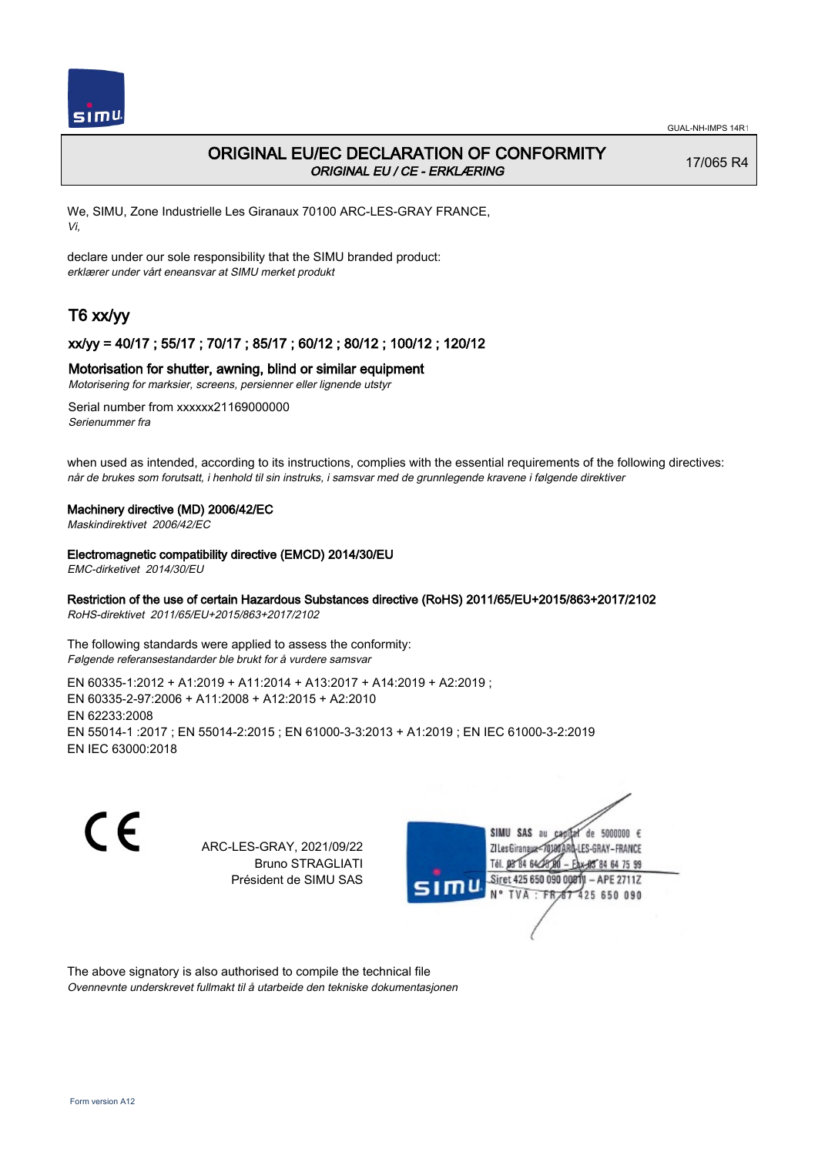

# ORIGINAL EU/EC DECLARATION OF CONFORMITY ORIGINAL EU / CE - ERKLÆRING

17/065 R4

We, SIMU, Zone Industrielle Les Giranaux 70100 ARC-LES-GRAY FRANCE, Vi,

declare under our sole responsibility that the SIMU branded product: erklærer under vårt eneansvar at SIMU merket produkt

# T6 xx/yy

## xx/yy = 40/17 ; 55/17 ; 70/17 ; 85/17 ; 60/12 ; 80/12 ; 100/12 ; 120/12

#### Motorisation for shutter, awning, blind or similar equipment

Motorisering for marksier, screens, persienner eller lignende utstyr

Serial number from xxxxxx21169000000 Serienummer fra

when used as intended, according to its instructions, complies with the essential requirements of the following directives: når de brukes som forutsatt, i henhold til sin instruks, i samsvar med de grunnlegende kravene i følgende direktiver

#### Machinery directive (MD) 2006/42/EC

Maskindirektivet 2006/42/EC

#### Electromagnetic compatibility directive (EMCD) 2014/30/EU

EMC-dirketivet 2014/30/EU

## Restriction of the use of certain Hazardous Substances directive (RoHS) 2011/65/EU+2015/863+2017/2102

RoHS-direktivet 2011/65/EU+2015/863+2017/2102

The following standards were applied to assess the conformity: Følgende referansestandarder ble brukt for å vurdere samsvar

EN 60335‑1:2012 + A1:2019 + A11:2014 + A13:2017 + A14:2019 + A2:2019 ; EN 60335‑2‑97:2006 + A11:2008 + A12:2015 + A2:2010 EN 62233:2008 EN 55014‑1 :2017 ; EN 55014‑2:2015 ; EN 61000‑3‑3:2013 + A1:2019 ; EN IEC 61000‑3‑2:2019 EN IEC 63000:2018

C E

ARC-LES-GRAY, 2021/09/22 Bruno STRAGLIATI Président de SIMU SAS



The above signatory is also authorised to compile the technical file Ovennevnte underskrevet fullmakt til å utarbeide den tekniske dokumentasjonen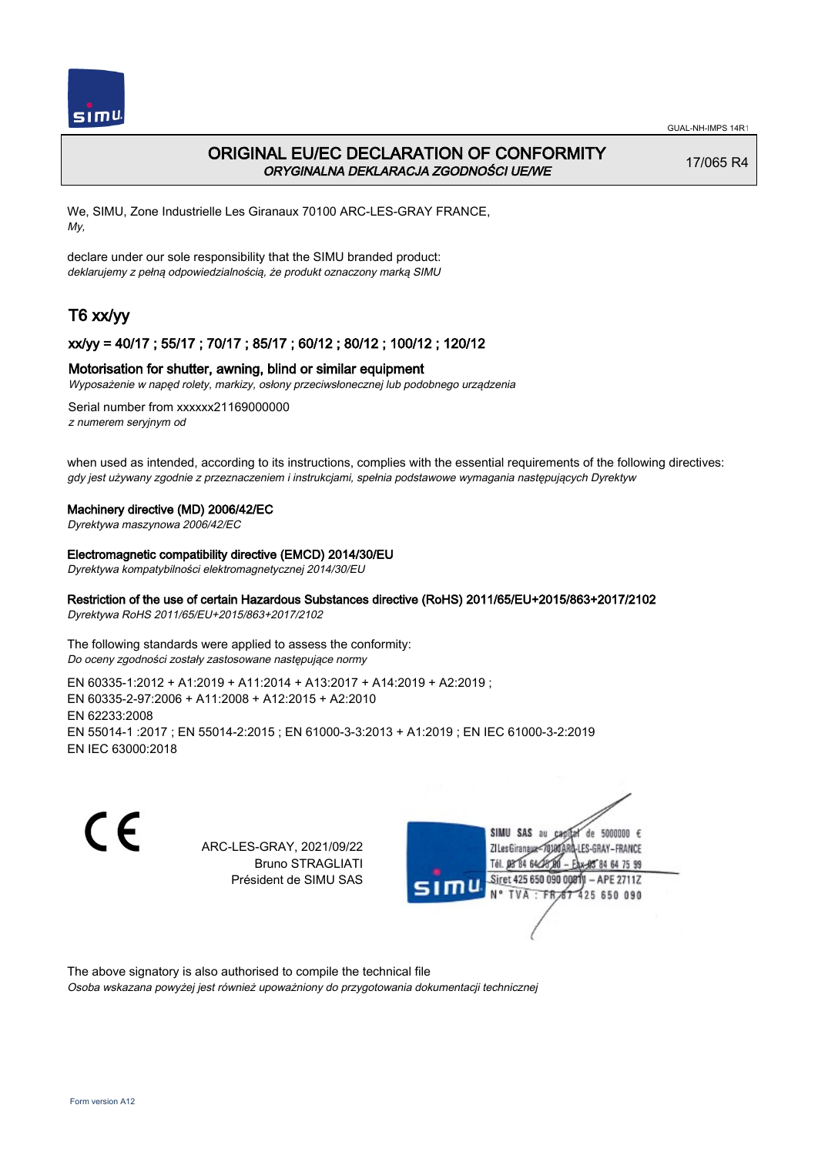

# ORIGINAL EU/EC DECLARATION OF CONFORMITY ORYGINALNA DEKLARACJA ZGODNOŚCI UE/WE

17/065 R4

We, SIMU, Zone Industrielle Les Giranaux 70100 ARC-LES-GRAY FRANCE, My,

declare under our sole responsibility that the SIMU branded product: deklarujemy z pełną odpowiedzialnością, że produkt oznaczony marką SIMU

# T6 xx/yy

## xx/yy = 40/17 ; 55/17 ; 70/17 ; 85/17 ; 60/12 ; 80/12 ; 100/12 ; 120/12

#### Motorisation for shutter, awning, blind or similar equipment

Wyposażenie w napęd rolety, markizy, osłony przeciwsłonecznej lub podobnego urządzenia

Serial number from xxxxxx21169000000 z numerem seryjnym od

when used as intended, according to its instructions, complies with the essential requirements of the following directives: gdy jest używany zgodnie z przeznaczeniem i instrukcjami, spełnia podstawowe wymagania następujących Dyrektyw

#### Machinery directive (MD) 2006/42/EC

Dyrektywa maszynowa 2006/42/EC

#### Electromagnetic compatibility directive (EMCD) 2014/30/EU

Dyrektywa kompatybilności elektromagnetycznej 2014/30/EU

## Restriction of the use of certain Hazardous Substances directive (RoHS) 2011/65/EU+2015/863+2017/2102

Dyrektywa RoHS 2011/65/EU+2015/863+2017/2102

The following standards were applied to assess the conformity: Do oceny zgodności zostały zastosowane następujące normy

EN 60335‑1:2012 + A1:2019 + A11:2014 + A13:2017 + A14:2019 + A2:2019 ; EN 60335‑2‑97:2006 + A11:2008 + A12:2015 + A2:2010 EN 62233:2008 EN 55014‑1 :2017 ; EN 55014‑2:2015 ; EN 61000‑3‑3:2013 + A1:2019 ; EN IEC 61000‑3‑2:2019 EN IEC 63000:2018

C E

ARC-LES-GRAY, 2021/09/22 Bruno STRAGLIATI Président de SIMU SAS



The above signatory is also authorised to compile the technical file

Osoba wskazana powyżej jest również upoważniony do przygotowania dokumentacji technicznej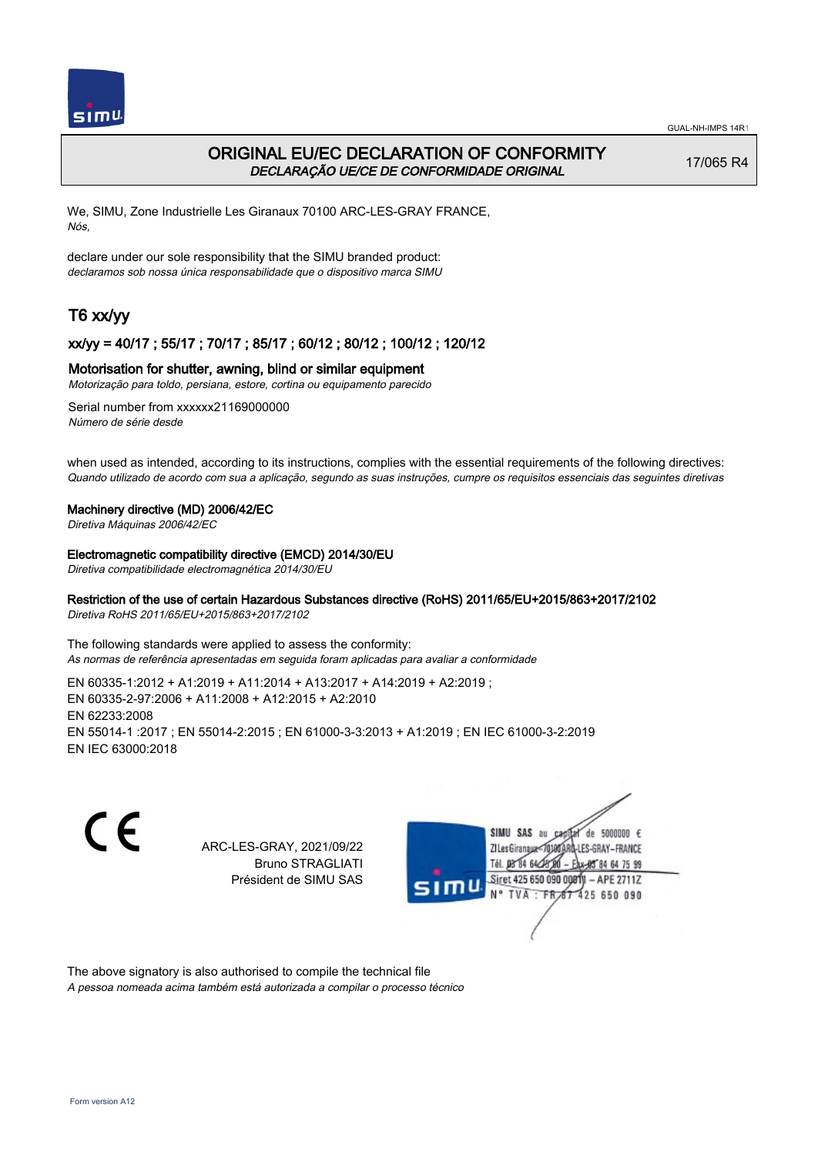

# ORIGINAL EU/EC DECLARATION OF CONFORMITY DECLARAÇÃO UE/CE DE CONFORMIDADE ORIGINAL

17/065 R4

We, SIMU, Zone Industrielle Les Giranaux 70100 ARC-LES-GRAY FRANCE, Nós,

declare under our sole responsibility that the SIMU branded product: declaramos sob nossa única responsabilidade que o dispositivo marca SIMU

# T6 xx/yy

## xx/yy = 40/17 ; 55/17 ; 70/17 ; 85/17 ; 60/12 ; 80/12 ; 100/12 ; 120/12

### Motorisation for shutter, awning, blind or similar equipment

Motorização para toldo, persiana, estore, cortina ou equipamento parecido

Serial number from xxxxxx21169000000 Número de série desde

when used as intended, according to its instructions, complies with the essential requirements of the following directives: Quando utilizado de acordo com sua a aplicação, segundo as suas instruções, cumpre os requisitos essenciais das seguintes diretivas

#### Machinery directive (MD) 2006/42/EC

Diretiva Máquinas 2006/42/EC

Electromagnetic compatibility directive (EMCD) 2014/30/EU

Diretiva compatibilidade electromagnética 2014/30/EU

## Restriction of the use of certain Hazardous Substances directive (RoHS) 2011/65/EU+2015/863+2017/2102

Diretiva RoHS 2011/65/EU+2015/863+2017/2102

The following standards were applied to assess the conformity: As normas de referência apresentadas em seguida foram aplicadas para avaliar a conformidade

EN 60335‑1:2012 + A1:2019 + A11:2014 + A13:2017 + A14:2019 + A2:2019 ; EN 60335‑2‑97:2006 + A11:2008 + A12:2015 + A2:2010 EN 62233:2008 EN 55014‑1 :2017 ; EN 55014‑2:2015 ; EN 61000‑3‑3:2013 + A1:2019 ; EN IEC 61000‑3‑2:2019 EN IEC 63000:2018

C E

ARC-LES-GRAY, 2021/09/22 Bruno STRAGLIATI Président de SIMU SAS



The above signatory is also authorised to compile the technical file

A pessoa nomeada acima também está autorizada a compilar o processo técnico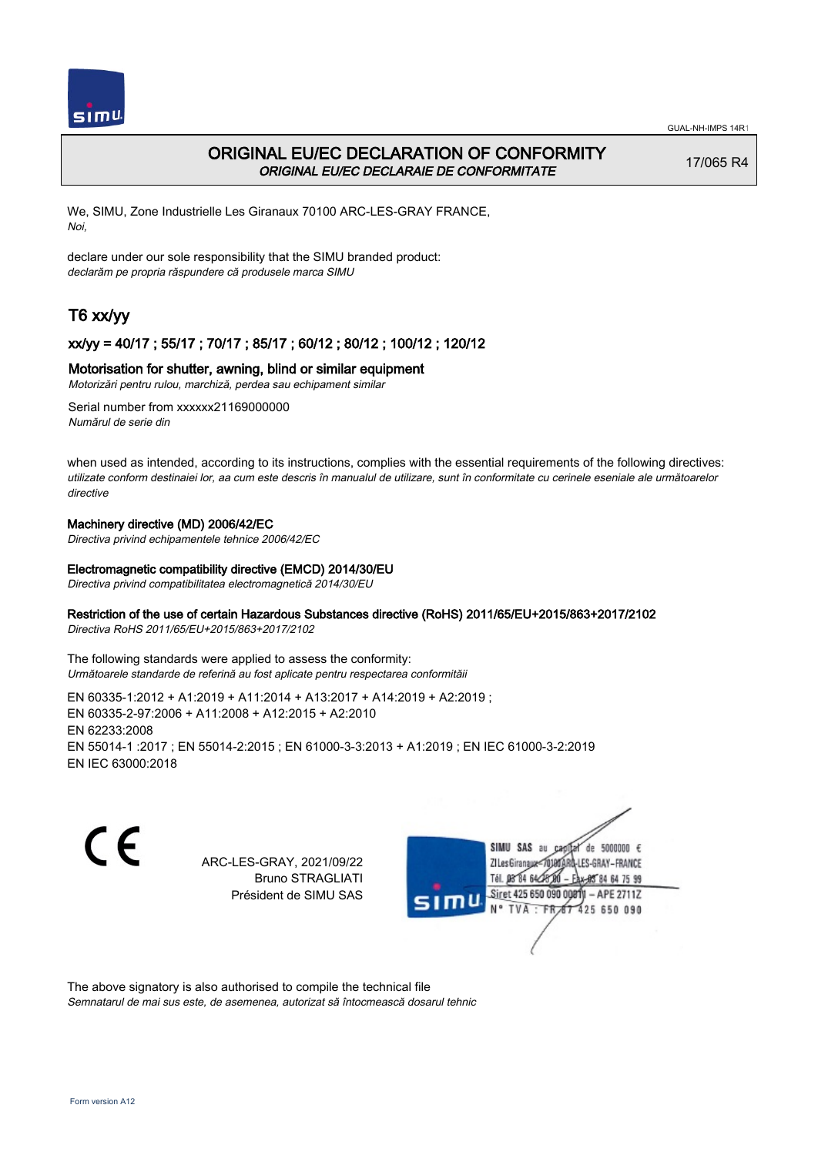

# ORIGINAL EU/EC DECLARATION OF CONFORMITY ORIGINAL EU/EC DECLARAIE DE CONFORMITATE

17/065 R4

We, SIMU, Zone Industrielle Les Giranaux 70100 ARC-LES-GRAY FRANCE, Noi,

declare under our sole responsibility that the SIMU branded product: declarăm pe propria răspundere că produsele marca SIMU

# T6 xx/yy

## xx/yy = 40/17 ; 55/17 ; 70/17 ; 85/17 ; 60/12 ; 80/12 ; 100/12 ; 120/12

### Motorisation for shutter, awning, blind or similar equipment

Motorizări pentru rulou, marchiză, perdea sau echipament similar

Serial number from xxxxxx21169000000 Numărul de serie din

when used as intended, according to its instructions, complies with the essential requirements of the following directives: utilizate conform destinaiei lor, aa cum este descris în manualul de utilizare, sunt în conformitate cu cerinele eseniale ale următoarelor directive

### Machinery directive (MD) 2006/42/EC

Directiva privind echipamentele tehnice 2006/42/EC

#### Electromagnetic compatibility directive (EMCD) 2014/30/EU

Directiva privind compatibilitatea electromagnetică 2014/30/EU

### Restriction of the use of certain Hazardous Substances directive (RoHS) 2011/65/EU+2015/863+2017/2102

Directiva RoHS 2011/65/EU+2015/863+2017/2102

The following standards were applied to assess the conformity: Următoarele standarde de referină au fost aplicate pentru respectarea conformităii

EN 60335‑1:2012 + A1:2019 + A11:2014 + A13:2017 + A14:2019 + A2:2019 ; EN 60335‑2‑97:2006 + A11:2008 + A12:2015 + A2:2010 EN 62233:2008 EN 55014‑1 :2017 ; EN 55014‑2:2015 ; EN 61000‑3‑3:2013 + A1:2019 ; EN IEC 61000‑3‑2:2019 EN IEC 63000:2018

CE

ARC-LES-GRAY, 2021/09/22 Bruno STRAGLIATI Président de SIMU SAS



The above signatory is also authorised to compile the technical file

Semnatarul de mai sus este, de asemenea, autorizat să întocmească dosarul tehnic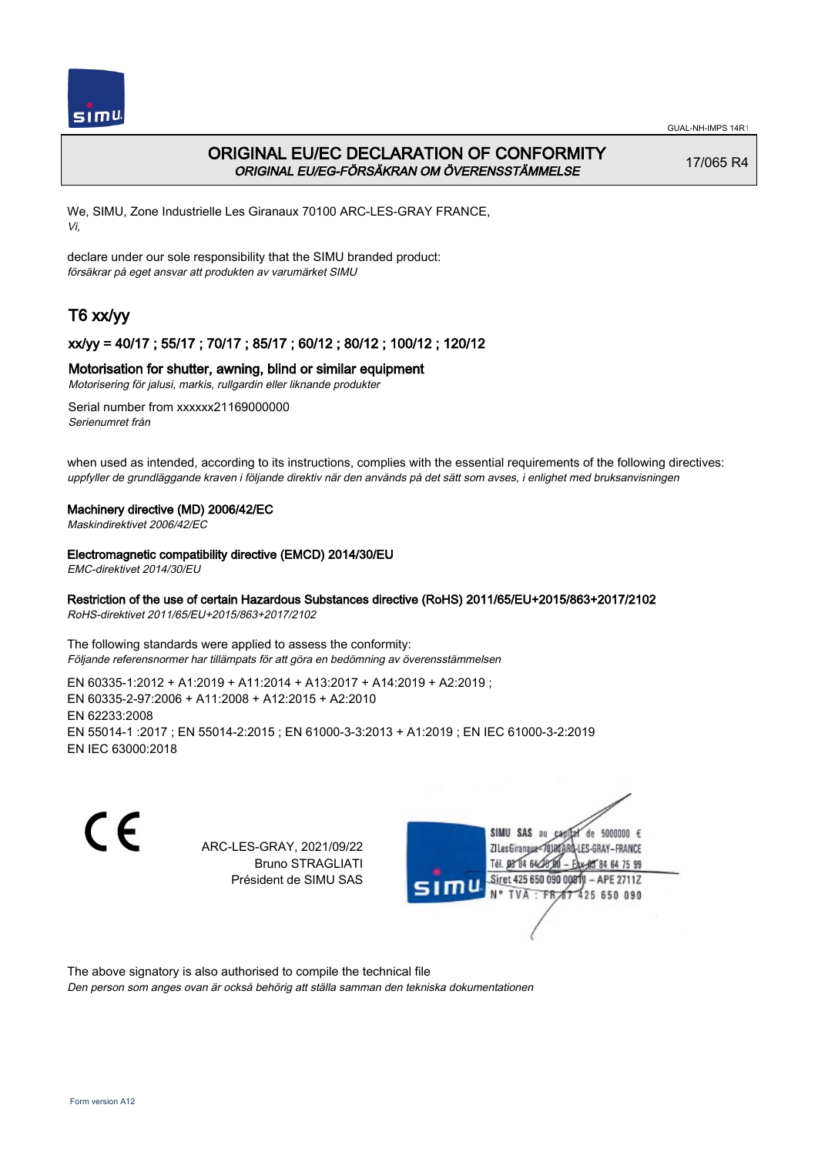

# ORIGINAL EU/EC DECLARATION OF CONFORMITY ORIGINAL EU/EG-FÖRSÄKRAN OM ÖVERENSSTÄMMELSE

17/065 R4

We, SIMU, Zone Industrielle Les Giranaux 70100 ARC-LES-GRAY FRANCE, Vi,

declare under our sole responsibility that the SIMU branded product: försäkrar på eget ansvar att produkten av varumärket SIMU

# T6 xx/yy

## xx/yy = 40/17 ; 55/17 ; 70/17 ; 85/17 ; 60/12 ; 80/12 ; 100/12 ; 120/12

## Motorisation for shutter, awning, blind or similar equipment

Motorisering för jalusi, markis, rullgardin eller liknande produkter

Serial number from xxxxxx21169000000 Serienumret från

when used as intended, according to its instructions, complies with the essential requirements of the following directives: uppfyller de grundläggande kraven i följande direktiv när den används på det sätt som avses, i enlighet med bruksanvisningen

#### Machinery directive (MD) 2006/42/EC

Maskindirektivet 2006/42/EC

### Electromagnetic compatibility directive (EMCD) 2014/30/EU

EMC-direktivet 2014/30/EU

### Restriction of the use of certain Hazardous Substances directive (RoHS) 2011/65/EU+2015/863+2017/2102

RoHS-direktivet 2011/65/EU+2015/863+2017/2102

The following standards were applied to assess the conformity: Följande referensnormer har tillämpats för att göra en bedömning av överensstämmelsen

EN 60335‑1:2012 + A1:2019 + A11:2014 + A13:2017 + A14:2019 + A2:2019 ; EN 60335‑2‑97:2006 + A11:2008 + A12:2015 + A2:2010 EN 62233:2008 EN 55014‑1 :2017 ; EN 55014‑2:2015 ; EN 61000‑3‑3:2013 + A1:2019 ; EN IEC 61000‑3‑2:2019 EN IEC 63000:2018

C E

ARC-LES-GRAY, 2021/09/22 Bruno STRAGLIATI Président de SIMU SAS



The above signatory is also authorised to compile the technical file

Den person som anges ovan är också behörig att ställa samman den tekniska dokumentationen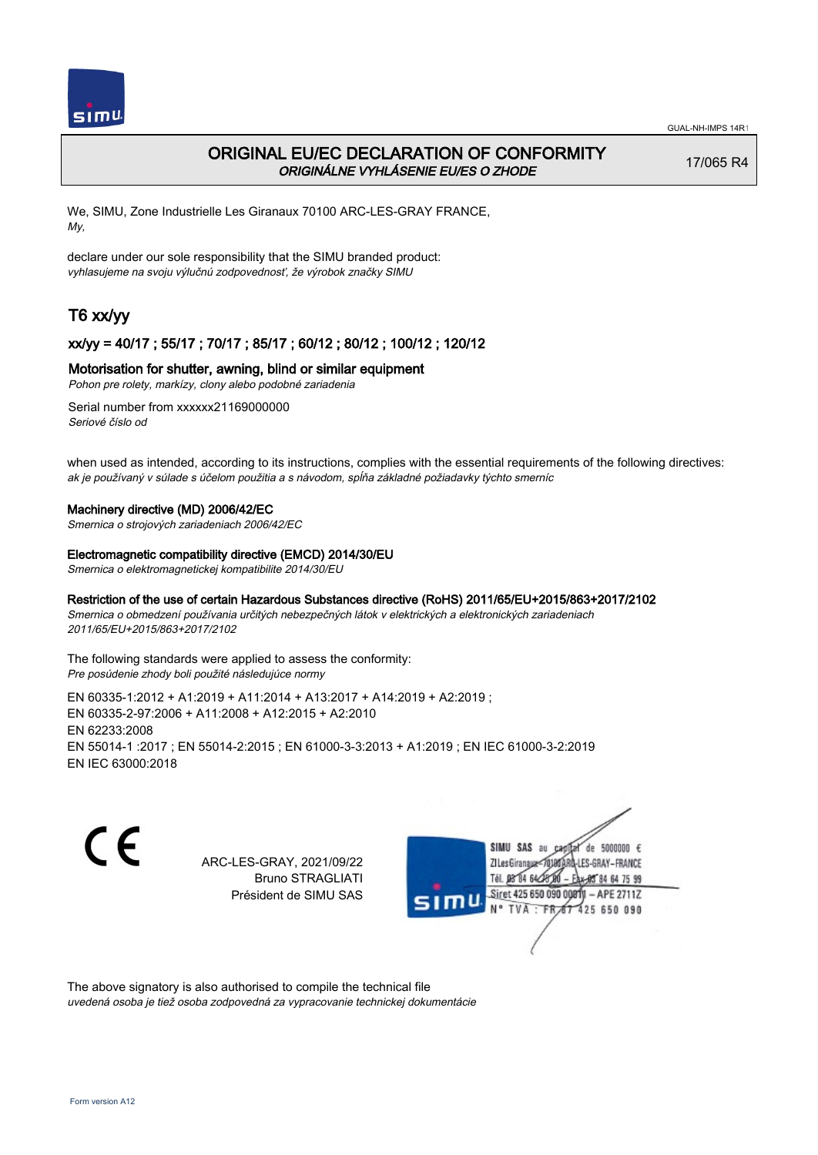

# ORIGINAL EU/EC DECLARATION OF CONFORMITY ORIGINÁLNE VYHLÁSENIE EU/ES O ZHODE

17/065 R4

We, SIMU, Zone Industrielle Les Giranaux 70100 ARC-LES-GRAY FRANCE, My,

declare under our sole responsibility that the SIMU branded product: vyhlasujeme na svoju výlučnú zodpovednosť, že výrobok značky SIMU

# T6 xx/yy

## xx/yy = 40/17 ; 55/17 ; 70/17 ; 85/17 ; 60/12 ; 80/12 ; 100/12 ; 120/12

## Motorisation for shutter, awning, blind or similar equipment

Pohon pre rolety, markízy, clony alebo podobné zariadenia

Serial number from xxxxxx21169000000 Seriové číslo od

when used as intended, according to its instructions, complies with the essential requirements of the following directives: ak je používaný v súlade s účelom použitia a s návodom, spĺňa základné požiadavky týchto smerníc

#### Machinery directive (MD) 2006/42/EC

Smernica o strojových zariadeniach 2006/42/EC

#### Electromagnetic compatibility directive (EMCD) 2014/30/EU

Smernica o elektromagnetickej kompatibilite 2014/30/EU

## Restriction of the use of certain Hazardous Substances directive (RoHS) 2011/65/EU+2015/863+2017/2102

Smernica o obmedzení používania určitých nebezpečných látok v elektrických a elektronických zariadeniach 2011/65/EU+2015/863+2017/2102

The following standards were applied to assess the conformity: Pre posúdenie zhody boli použité následujúce normy

EN 60335‑1:2012 + A1:2019 + A11:2014 + A13:2017 + A14:2019 + A2:2019 ; EN 60335‑2‑97:2006 + A11:2008 + A12:2015 + A2:2010 EN 62233:2008 EN 55014‑1 :2017 ; EN 55014‑2:2015 ; EN 61000‑3‑3:2013 + A1:2019 ; EN IEC 61000‑3‑2:2019 EN IEC 63000:2018

CE

ARC-LES-GRAY, 2021/09/22 Bruno STRAGLIATI Président de SIMU SAS



The above signatory is also authorised to compile the technical file

uvedená osoba je tiež osoba zodpovedná za vypracovanie technickej dokumentácie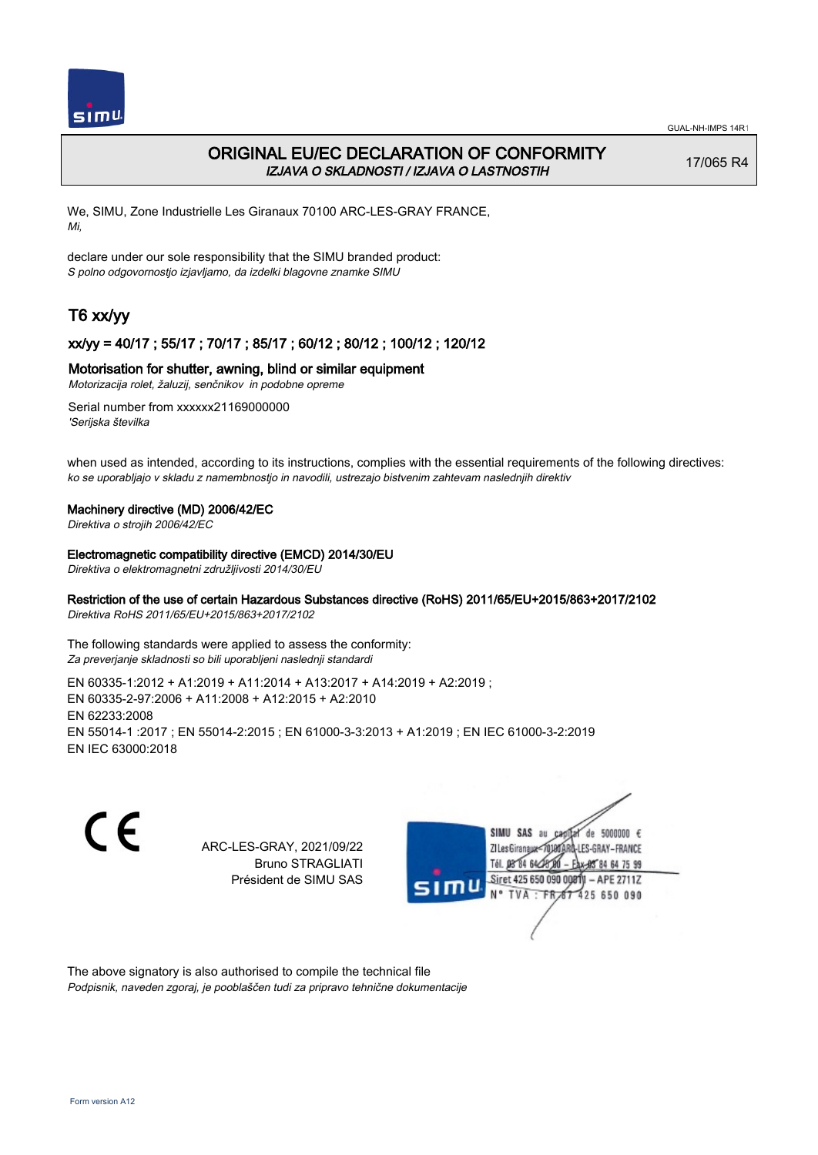

# ORIGINAL EU/EC DECLARATION OF CONFORMITY IZJAVA O SKLADNOSTI / IZJAVA O LASTNOSTIH

17/065 R4

We, SIMU, Zone Industrielle Les Giranaux 70100 ARC-LES-GRAY FRANCE, Mi,

declare under our sole responsibility that the SIMU branded product: S polno odgovornostjo izjavljamo, da izdelki blagovne znamke SIMU

# T6 xx/yy

## xx/yy = 40/17 ; 55/17 ; 70/17 ; 85/17 ; 60/12 ; 80/12 ; 100/12 ; 120/12

#### Motorisation for shutter, awning, blind or similar equipment

Motorizacija rolet, žaluzij, senčnikov in podobne opreme

Serial number from xxxxxx21169000000 'Serijska številka

when used as intended, according to its instructions, complies with the essential requirements of the following directives: ko se uporabljajo v skladu z namembnostjo in navodili, ustrezajo bistvenim zahtevam naslednjih direktiv

#### Machinery directive (MD) 2006/42/EC

Direktiva o strojih 2006/42/EC

#### Electromagnetic compatibility directive (EMCD) 2014/30/EU

Direktiva o elektromagnetni združljivosti 2014/30/EU

## Restriction of the use of certain Hazardous Substances directive (RoHS) 2011/65/EU+2015/863+2017/2102

Direktiva RoHS 2011/65/EU+2015/863+2017/2102

The following standards were applied to assess the conformity: Za preverjanje skladnosti so bili uporabljeni naslednji standardi

EN 60335‑1:2012 + A1:2019 + A11:2014 + A13:2017 + A14:2019 + A2:2019 ; EN 60335‑2‑97:2006 + A11:2008 + A12:2015 + A2:2010 EN 62233:2008 EN 55014‑1 :2017 ; EN 55014‑2:2015 ; EN 61000‑3‑3:2013 + A1:2019 ; EN IEC 61000‑3‑2:2019 EN IEC 63000:2018

C E

ARC-LES-GRAY, 2021/09/22 Bruno STRAGLIATI Président de SIMU SAS



The above signatory is also authorised to compile the technical file Podpisnik, naveden zgoraj, je pooblaščen tudi za pripravo tehnične dokumentacije